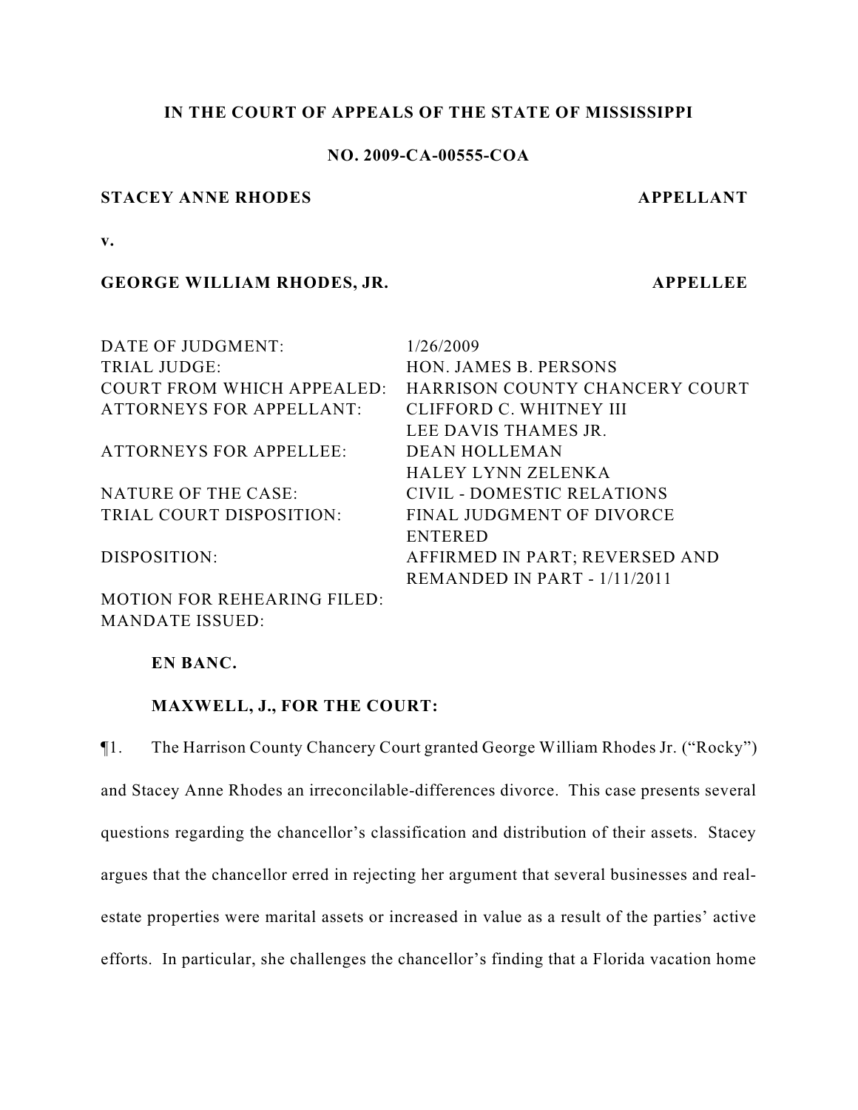# **IN THE COURT OF APPEALS OF THE STATE OF MISSISSIPPI**

# **NO. 2009-CA-00555-COA**

### **STACEY ANNE RHODES APPELLANT**

**v.**

#### **GEORGE WILLIAM RHODES, JR. APPELLEE**

| DATE OF JUDGMENT:                  | 1/26/2009                      |
|------------------------------------|--------------------------------|
| <b>TRIAL JUDGE:</b>                | HON. JAMES B. PERSONS          |
| <b>COURT FROM WHICH APPEALED:</b>  | HARRISON COUNTY CHANCERY COURT |
| <b>ATTORNEYS FOR APPELLANT:</b>    | CLIFFORD C. WHITNEY III        |
|                                    | LEE DAVIS THAMES JR.           |
| <b>ATTORNEYS FOR APPELLEE:</b>     | <b>DEAN HOLLEMAN</b>           |
|                                    | HALEY LYNN ZELENKA             |
| NATURE OF THE CASE:                | CIVIL - DOMESTIC RELATIONS     |
| TRIAL COURT DISPOSITION:           | FINAL JUDGMENT OF DIVORCE      |
|                                    | <b>ENTERED</b>                 |
| DISPOSITION:                       | AFFIRMED IN PART; REVERSED AND |
|                                    | REMANDED IN PART - 1/11/2011   |
| <b>MOTION FOR REHEARING FILED:</b> |                                |

**EN BANC.**

MANDATE ISSUED:

# **MAXWELL, J., FOR THE COURT:**

¶1. The Harrison County Chancery Court granted George William Rhodes Jr. ("Rocky") and Stacey Anne Rhodes an irreconcilable-differences divorce. This case presents several questions regarding the chancellor's classification and distribution of their assets. Stacey argues that the chancellor erred in rejecting her argument that several businesses and realestate properties were marital assets or increased in value as a result of the parties' active efforts. In particular, she challenges the chancellor's finding that a Florida vacation home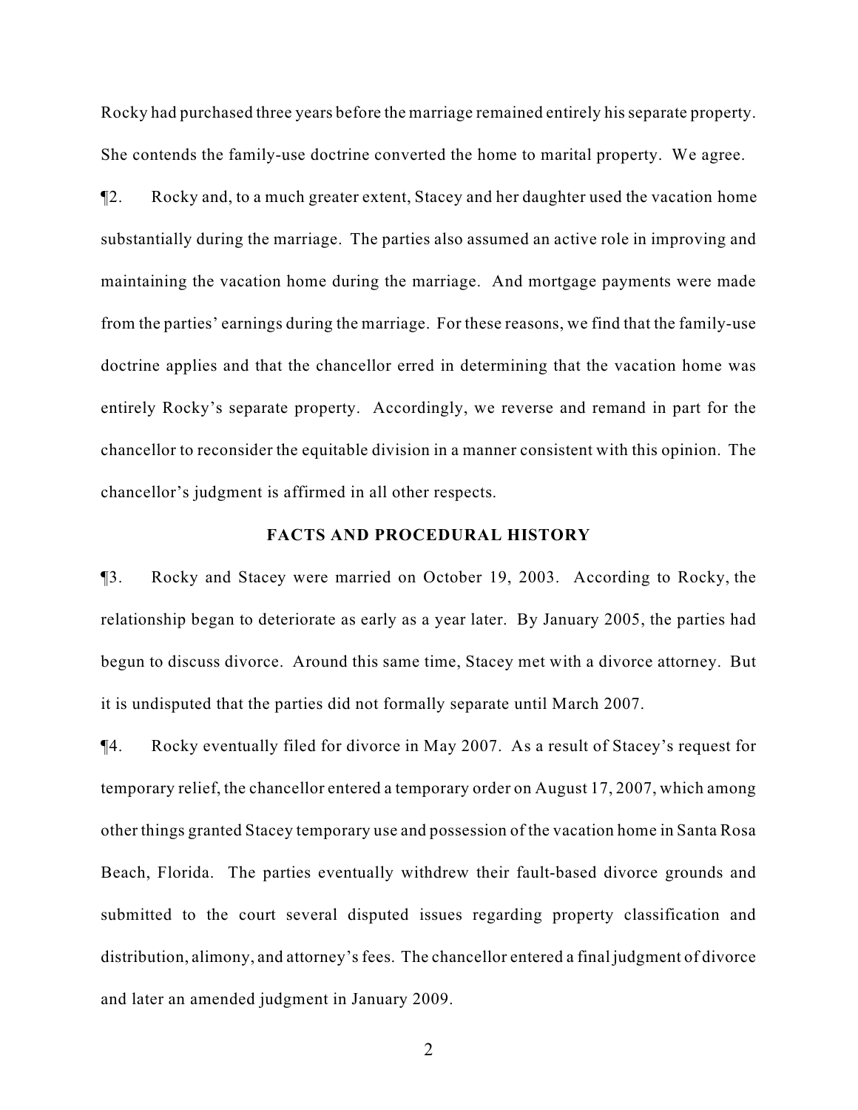Rocky had purchased three years before the marriage remained entirely his separate property. She contends the family-use doctrine converted the home to marital property. We agree.

¶2. Rocky and, to a much greater extent, Stacey and her daughter used the vacation home substantially during the marriage. The parties also assumed an active role in improving and maintaining the vacation home during the marriage. And mortgage payments were made from the parties' earnings during the marriage. For these reasons, we find that the family-use doctrine applies and that the chancellor erred in determining that the vacation home was entirely Rocky's separate property. Accordingly, we reverse and remand in part for the chancellor to reconsider the equitable division in a manner consistent with this opinion. The chancellor's judgment is affirmed in all other respects.

### **FACTS AND PROCEDURAL HISTORY**

¶3. Rocky and Stacey were married on October 19, 2003. According to Rocky, the relationship began to deteriorate as early as a year later. By January 2005, the parties had begun to discuss divorce. Around this same time, Stacey met with a divorce attorney. But it is undisputed that the parties did not formally separate until March 2007.

¶4. Rocky eventually filed for divorce in May 2007. As a result of Stacey's request for temporary relief, the chancellor entered a temporary order on August 17, 2007, which among other things granted Stacey temporary use and possession of the vacation home in Santa Rosa Beach, Florida. The parties eventually withdrew their fault-based divorce grounds and submitted to the court several disputed issues regarding property classification and distribution, alimony, and attorney's fees. The chancellor entered a final judgment of divorce and later an amended judgment in January 2009.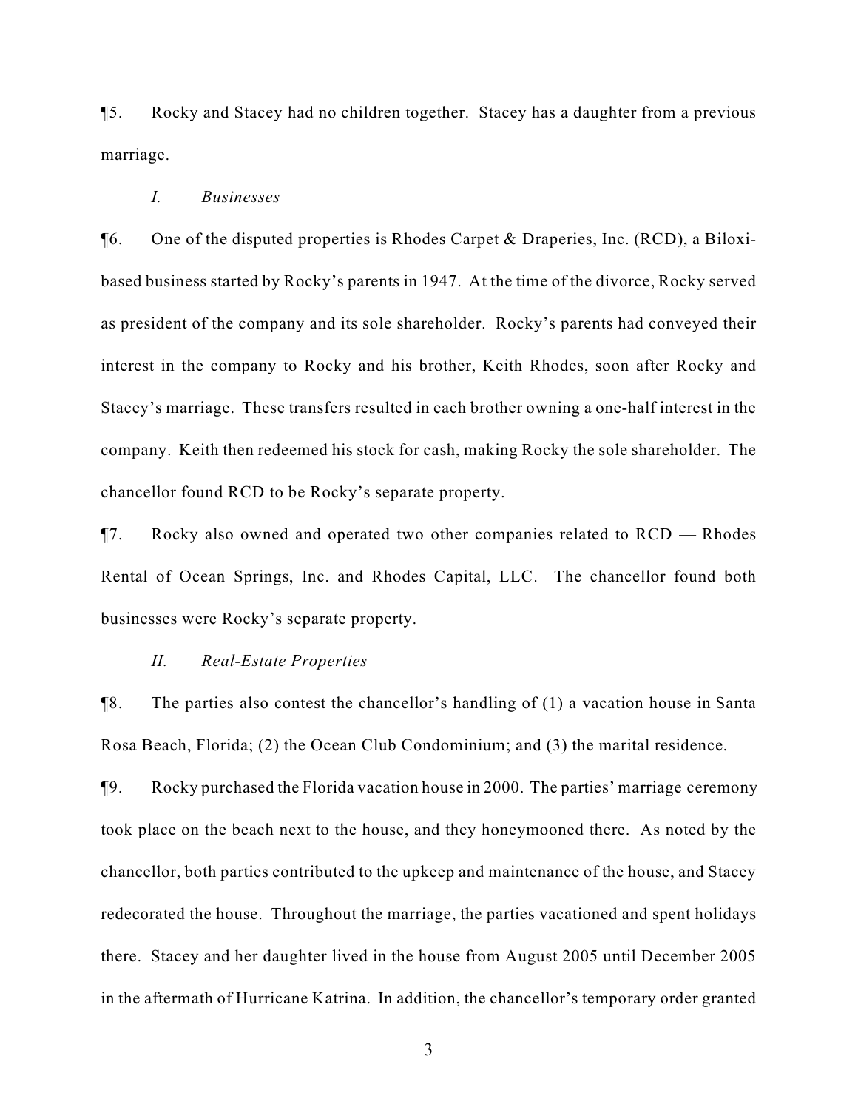¶5. Rocky and Stacey had no children together. Stacey has a daughter from a previous marriage.

#### *I. Businesses*

¶6. One of the disputed properties is Rhodes Carpet & Draperies, Inc. (RCD), a Biloxibased business started by Rocky's parents in 1947. At the time of the divorce, Rocky served as president of the company and its sole shareholder. Rocky's parents had conveyed their interest in the company to Rocky and his brother, Keith Rhodes, soon after Rocky and Stacey's marriage. These transfers resulted in each brother owning a one-half interest in the company. Keith then redeemed his stock for cash, making Rocky the sole shareholder. The chancellor found RCD to be Rocky's separate property.

¶7. Rocky also owned and operated two other companies related to RCD — Rhodes Rental of Ocean Springs, Inc. and Rhodes Capital, LLC. The chancellor found both businesses were Rocky's separate property.

#### *II. Real-Estate Properties*

¶8. The parties also contest the chancellor's handling of (1) a vacation house in Santa Rosa Beach, Florida; (2) the Ocean Club Condominium; and (3) the marital residence.

¶9. Rocky purchased the Florida vacation house in 2000. The parties' marriage ceremony took place on the beach next to the house, and they honeymooned there. As noted by the chancellor, both parties contributed to the upkeep and maintenance of the house, and Stacey redecorated the house. Throughout the marriage, the parties vacationed and spent holidays there. Stacey and her daughter lived in the house from August 2005 until December 2005 in the aftermath of Hurricane Katrina. In addition, the chancellor's temporary order granted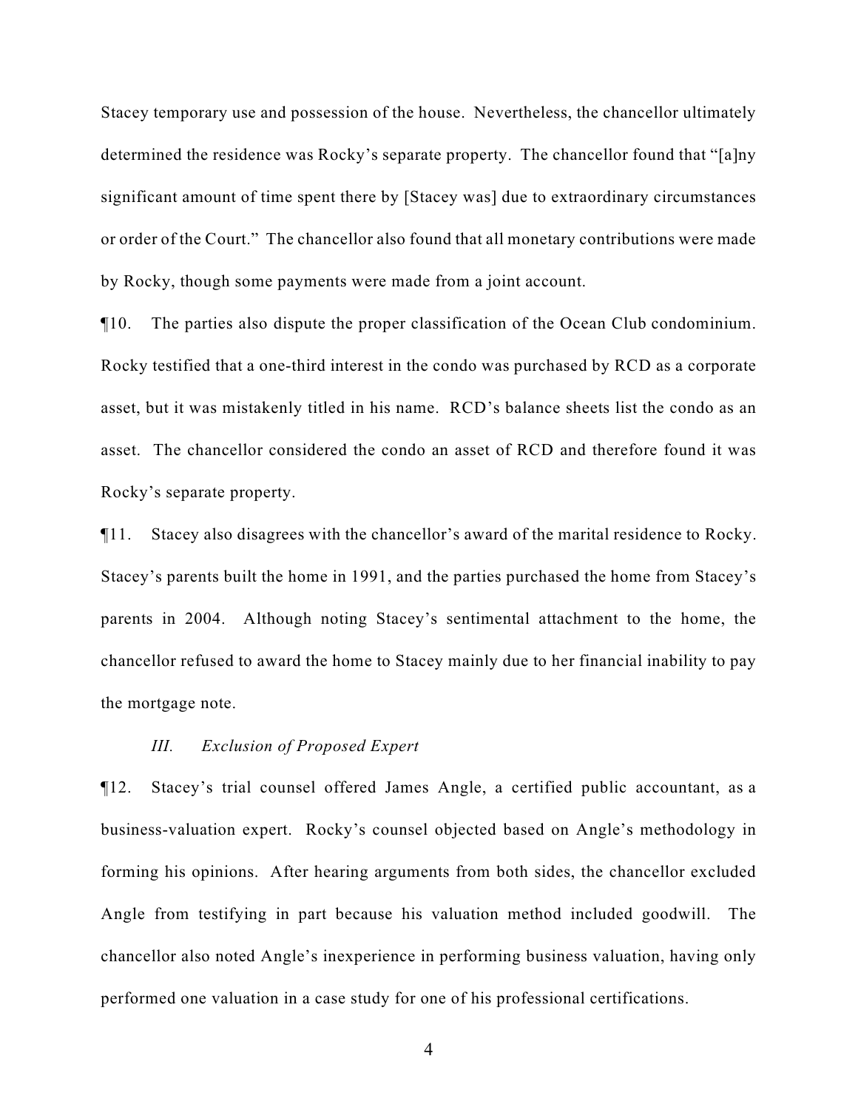Stacey temporary use and possession of the house. Nevertheless, the chancellor ultimately determined the residence was Rocky's separate property. The chancellor found that "[a]ny significant amount of time spent there by [Stacey was] due to extraordinary circumstances or order of the Court." The chancellor also found that all monetary contributions were made by Rocky, though some payments were made from a joint account.

¶10. The parties also dispute the proper classification of the Ocean Club condominium. Rocky testified that a one-third interest in the condo was purchased by RCD as a corporate asset, but it was mistakenly titled in his name. RCD's balance sheets list the condo as an asset. The chancellor considered the condo an asset of RCD and therefore found it was Rocky's separate property.

¶11. Stacey also disagrees with the chancellor's award of the marital residence to Rocky. Stacey's parents built the home in 1991, and the parties purchased the home from Stacey's parents in 2004. Although noting Stacey's sentimental attachment to the home, the chancellor refused to award the home to Stacey mainly due to her financial inability to pay the mortgage note.

#### *III. Exclusion of Proposed Expert*

¶12. Stacey's trial counsel offered James Angle, a certified public accountant, as a business-valuation expert. Rocky's counsel objected based on Angle's methodology in forming his opinions. After hearing arguments from both sides, the chancellor excluded Angle from testifying in part because his valuation method included goodwill. The chancellor also noted Angle's inexperience in performing business valuation, having only performed one valuation in a case study for one of his professional certifications.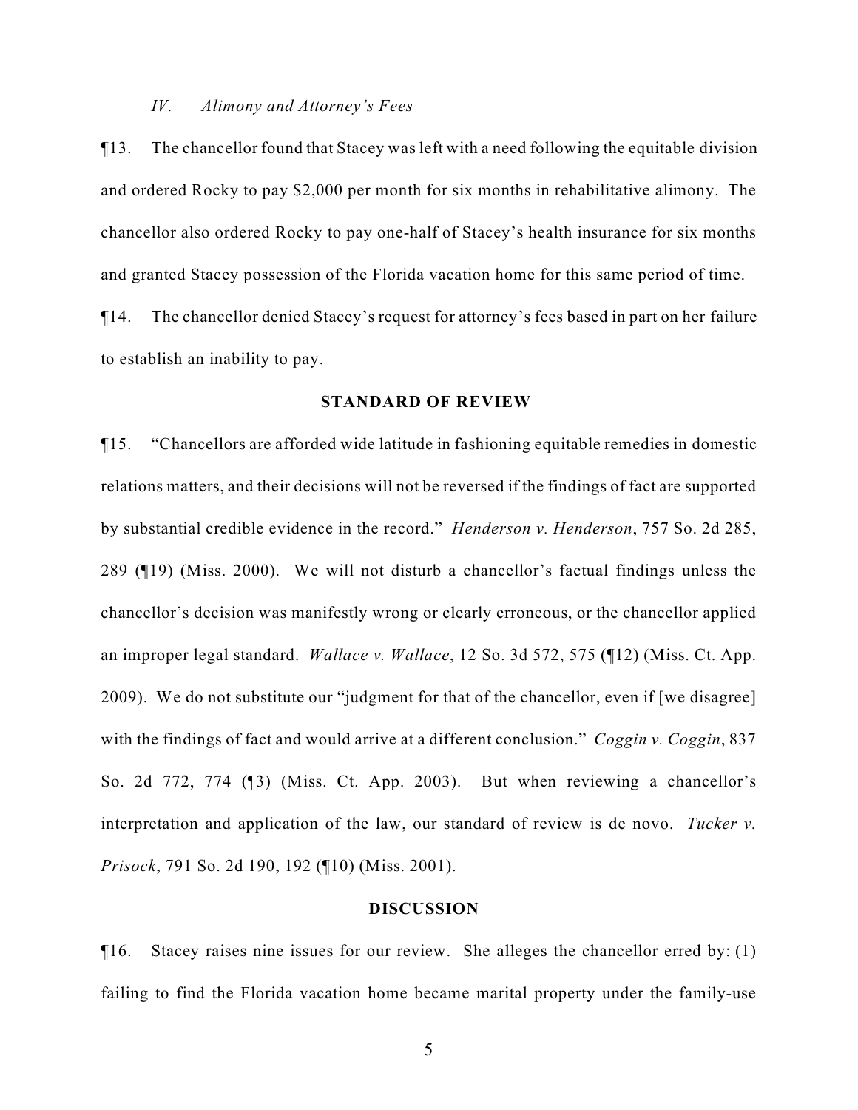#### *IV. Alimony and Attorney's Fees*

¶13. The chancellor found that Stacey was left with a need following the equitable division and ordered Rocky to pay \$2,000 per month for six months in rehabilitative alimony. The chancellor also ordered Rocky to pay one-half of Stacey's health insurance for six months and granted Stacey possession of the Florida vacation home for this same period of time.

¶14. The chancellor denied Stacey's request for attorney's fees based in part on her failure to establish an inability to pay.

#### **STANDARD OF REVIEW**

¶15. "Chancellors are afforded wide latitude in fashioning equitable remedies in domestic relations matters, and their decisions will not be reversed if the findings of fact are supported by substantial credible evidence in the record." *Henderson v. Henderson*, 757 So. 2d 285, 289 (¶19) (Miss. 2000). We will not disturb a chancellor's factual findings unless the chancellor's decision was manifestly wrong or clearly erroneous, or the chancellor applied an improper legal standard. *Wallace v. Wallace*, 12 So. 3d 572, 575 (¶12) (Miss. Ct. App. 2009). We do not substitute our "judgment for that of the chancellor, even if [we disagree] with the findings of fact and would arrive at a different conclusion." *Coggin v. Coggin*, 837 So. 2d 772, 774 (¶3) (Miss. Ct. App. 2003). But when reviewing a chancellor's interpretation and application of the law, our standard of review is de novo. *Tucker v. Prisock*, 791 So. 2d 190, 192 (¶10) (Miss. 2001).

#### **DISCUSSION**

¶16. Stacey raises nine issues for our review. She alleges the chancellor erred by: (1) failing to find the Florida vacation home became marital property under the family-use

5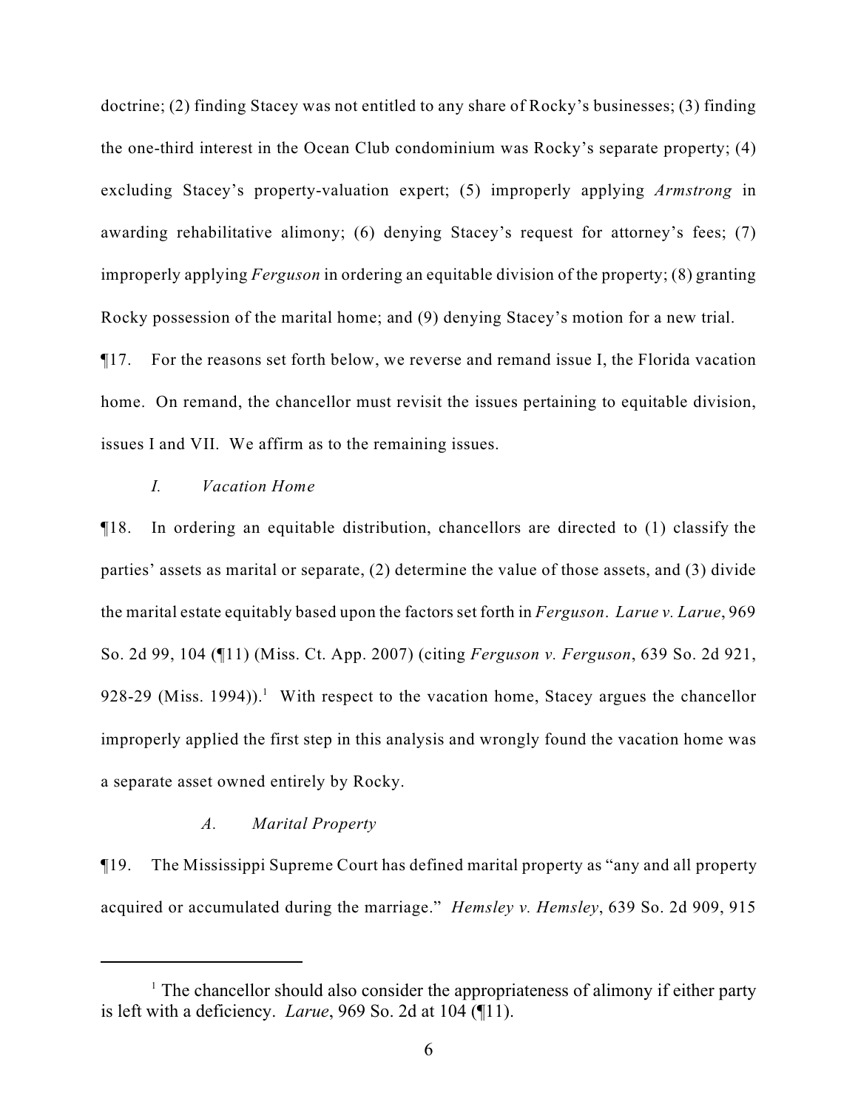doctrine; (2) finding Stacey was not entitled to any share of Rocky's businesses; (3) finding the one-third interest in the Ocean Club condominium was Rocky's separate property; (4) excluding Stacey's property-valuation expert; (5) improperly applying *Armstrong* in awarding rehabilitative alimony; (6) denying Stacey's request for attorney's fees; (7) improperly applying *Ferguson* in ordering an equitable division of the property; (8) granting Rocky possession of the marital home; and (9) denying Stacey's motion for a new trial.

¶17. For the reasons set forth below, we reverse and remand issue I, the Florida vacation home. On remand, the chancellor must revisit the issues pertaining to equitable division, issues I and VII. We affirm as to the remaining issues.

# *I. Vacation Home*

¶18. In ordering an equitable distribution, chancellors are directed to (1) classify the parties' assets as marital or separate, (2) determine the value of those assets, and (3) divide the marital estate equitably based upon the factors set forth in *Ferguson*. *Larue v. Larue*, 969 So. 2d 99, 104 (¶11) (Miss. Ct. App. 2007) (citing *Ferguson v. Ferguson*, 639 So. 2d 921, 928-29 (Miss. 1994)).<sup>1</sup> With respect to the vacation home, Stacey argues the chancellor improperly applied the first step in this analysis and wrongly found the vacation home was a separate asset owned entirely by Rocky.

### *A. Marital Property*

¶19. The Mississippi Supreme Court has defined marital property as "any and all property acquired or accumulated during the marriage." *Hemsley v. Hemsley*, 639 So. 2d 909, 915

 $\frac{1}{1}$ . The chancellor should also consider the appropriateness of alimony if either party is left with a deficiency. *Larue*, 969 So. 2d at 104 (¶11).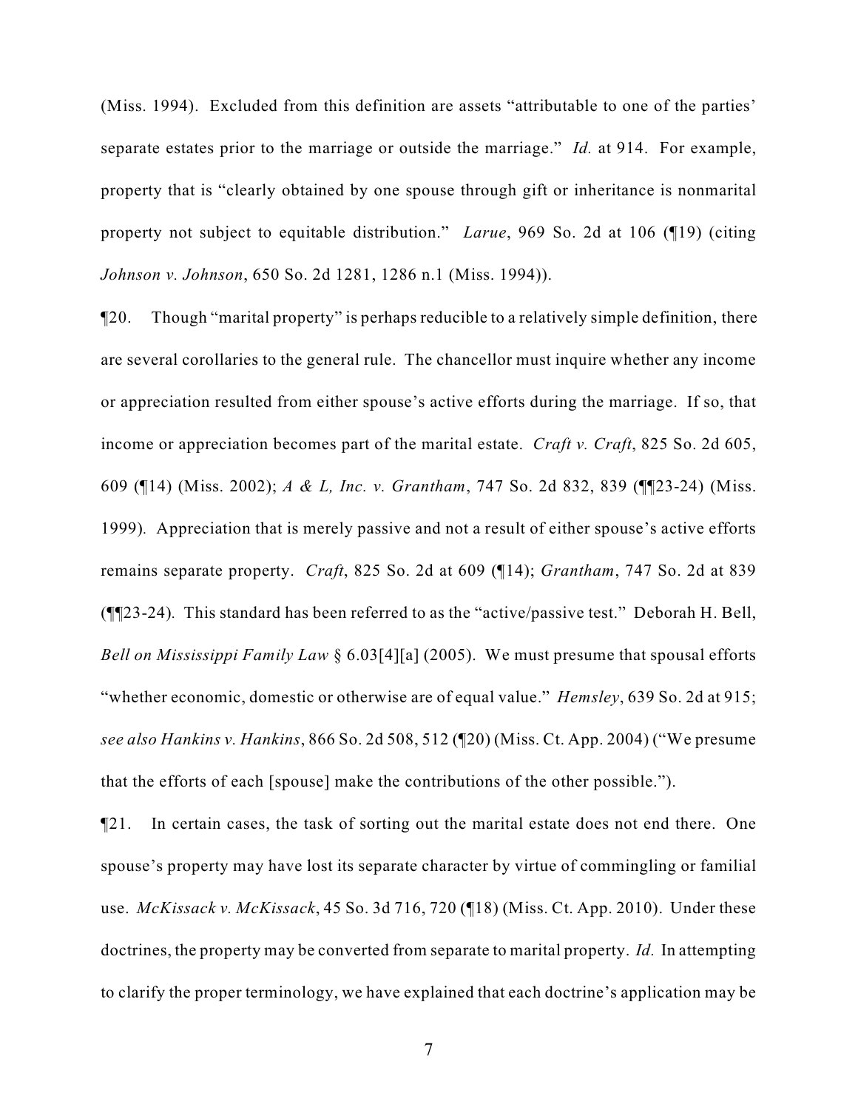(Miss. 1994). Excluded from this definition are assets "attributable to one of the parties' separate estates prior to the marriage or outside the marriage." *Id.* at 914. For example, property that is "clearly obtained by one spouse through gift or inheritance is nonmarital property not subject to equitable distribution." *Larue*, 969 So. 2d at 106 (¶19) (citing *Johnson v. Johnson*, 650 So. 2d 1281, 1286 n.1 (Miss. 1994)).

¶20. Though "marital property" is perhaps reducible to a relatively simple definition, there are several corollaries to the general rule. The chancellor must inquire whether any income or appreciation resulted from either spouse's active efforts during the marriage. If so, that income or appreciation becomes part of the marital estate. *Craft v. Craft*, 825 So. 2d 605, 609 (¶14) (Miss. 2002); *A & L, Inc. v. Grantham*, 747 So. 2d 832, 839 (¶¶23-24) (Miss. 1999)*.* Appreciation that is merely passive and not a result of either spouse's active efforts remains separate property. *Craft*, 825 So. 2d at 609 (¶14); *Grantham*, 747 So. 2d at 839 (¶¶23-24)*.* This standard has been referred to as the "active/passive test." Deborah H. Bell, *Bell on Mississippi Family Law* § 6.03[4][a] (2005). We must presume that spousal efforts "whether economic, domestic or otherwise are of equal value." *Hemsley*, 639 So. 2d at 915; *see also Hankins v. Hankins*, 866 So. 2d 508, 512 (¶20) (Miss. Ct. App. 2004) ("We presume that the efforts of each [spouse] make the contributions of the other possible.").

¶21. In certain cases, the task of sorting out the marital estate does not end there. One spouse's property may have lost its separate character by virtue of commingling or familial use. *McKissack v. McKissack*, 45 So. 3d 716, 720 (¶18) (Miss. Ct. App. 2010). Under these doctrines, the property may be converted from separate to marital property. *Id.* In attempting to clarify the proper terminology, we have explained that each doctrine's application may be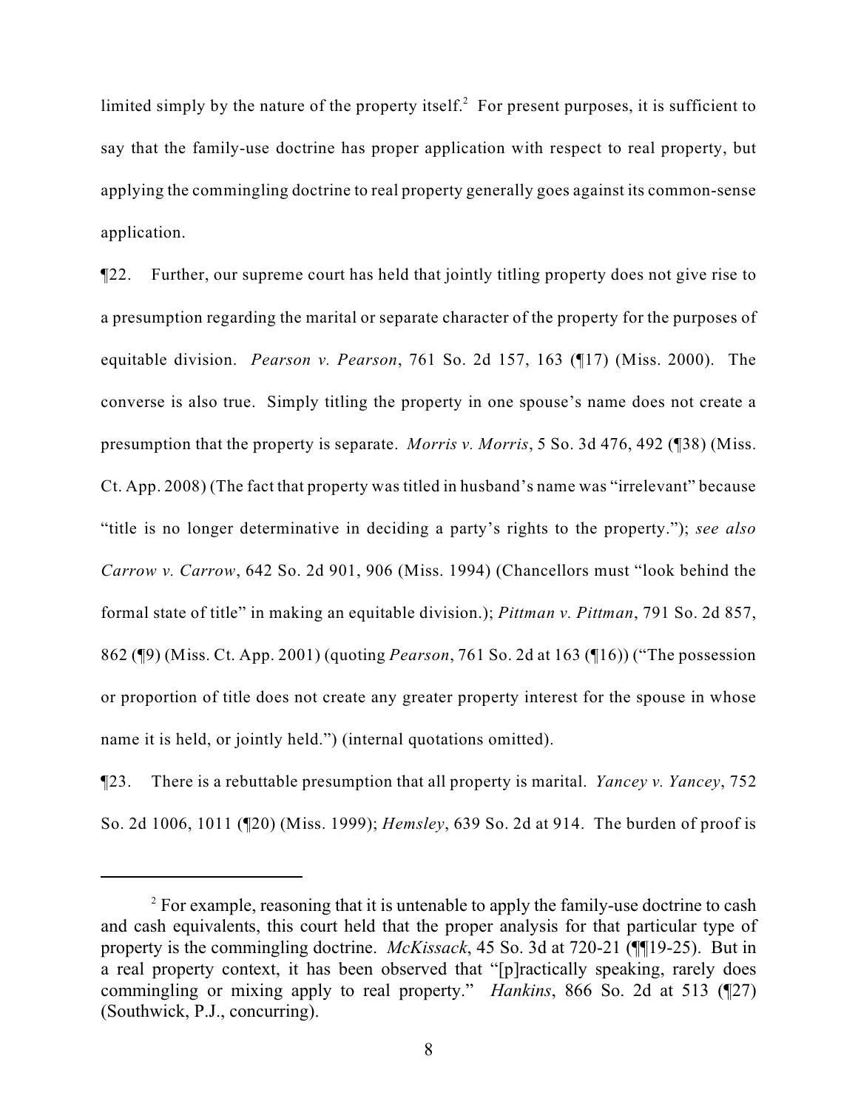limited simply by the nature of the property itself.<sup>2</sup> For present purposes, it is sufficient to say that the family-use doctrine has proper application with respect to real property, but applying the commingling doctrine to real property generally goes against its common-sense application.

¶22. Further, our supreme court has held that jointly titling property does not give rise to a presumption regarding the marital or separate character of the property for the purposes of equitable division. *Pearson v. Pearson*, 761 So. 2d 157, 163 (¶17) (Miss. 2000). The converse is also true. Simply titling the property in one spouse's name does not create a presumption that the property is separate. *Morris v. Morris*, 5 So. 3d 476, 492 (¶38) (Miss. Ct. App. 2008) (The fact that property was titled in husband's name was "irrelevant" because "title is no longer determinative in deciding a party's rights to the property."); *see also Carrow v. Carrow*, 642 So. 2d 901, 906 (Miss. 1994) (Chancellors must "look behind the formal state of title" in making an equitable division.); *Pittman v. Pittman*, 791 So. 2d 857, 862 (¶9) (Miss. Ct. App. 2001) (quoting *Pearson*, 761 So. 2d at 163 (¶16)) ("The possession or proportion of title does not create any greater property interest for the spouse in whose name it is held, or jointly held.") (internal quotations omitted).

¶23. There is a rebuttable presumption that all property is marital. *Yancey v. Yancey*, 752 So. 2d 1006, 1011 (¶20) (Miss. 1999); *Hemsley*, 639 So. 2d at 914. The burden of proof is

 $\degree$  For example, reasoning that it is untenable to apply the family-use doctrine to cash and cash equivalents, this court held that the proper analysis for that particular type of property is the commingling doctrine. *McKissack*, 45 So. 3d at 720-21 (¶¶19-25). But in a real property context, it has been observed that "[p]ractically speaking, rarely does commingling or mixing apply to real property." *Hankins*, 866 So. 2d at 513 (¶27) (Southwick, P.J., concurring).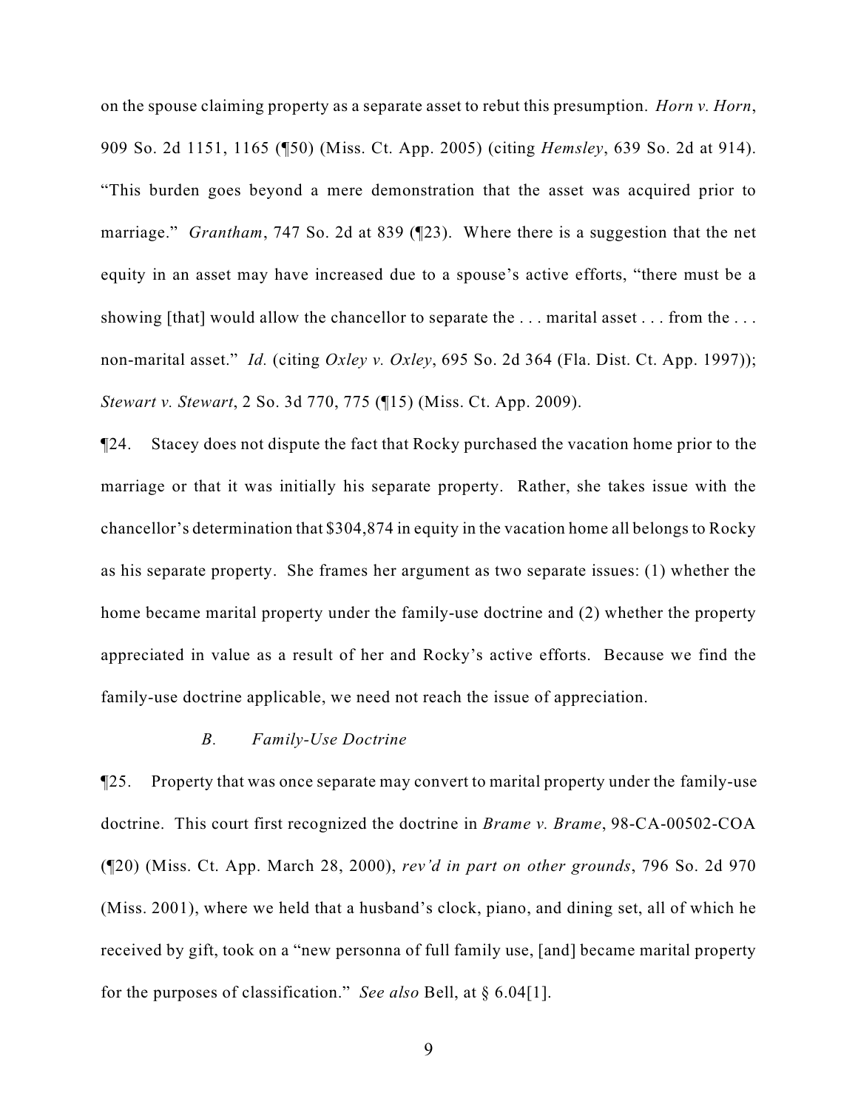on the spouse claiming property as a separate asset to rebut this presumption. *Horn v. Horn*, 909 So. 2d 1151, 1165 (¶50) (Miss. Ct. App. 2005) (citing *Hemsley*, 639 So. 2d at 914). "This burden goes beyond a mere demonstration that the asset was acquired prior to marriage." *Grantham*, 747 So. 2d at 839 (¶23). Where there is a suggestion that the net equity in an asset may have increased due to a spouse's active efforts, "there must be a showing [that] would allow the chancellor to separate the ... marital asset ... from the ... non-marital asset." *Id.* (citing *Oxley v. Oxley*, 695 So. 2d 364 (Fla. Dist. Ct. App. 1997)); *Stewart v. Stewart*, 2 So. 3d 770, 775 (¶15) (Miss. Ct. App. 2009).

¶24. Stacey does not dispute the fact that Rocky purchased the vacation home prior to the marriage or that it was initially his separate property. Rather, she takes issue with the chancellor's determination that \$304,874 in equity in the vacation home all belongs to Rocky as his separate property. She frames her argument as two separate issues: (1) whether the home became marital property under the family-use doctrine and (2) whether the property appreciated in value as a result of her and Rocky's active efforts. Because we find the family-use doctrine applicable, we need not reach the issue of appreciation.

## *B. Family-Use Doctrine*

¶25. Property that was once separate may convert to marital property under the family-use doctrine. This court first recognized the doctrine in *Brame v. Brame*, 98-CA-00502-COA (¶20) (Miss. Ct. App. March 28, 2000), *rev'd in part on other grounds*, 796 So. 2d 970 (Miss. 2001), where we held that a husband's clock, piano, and dining set, all of which he received by gift, took on a "new personna of full family use, [and] became marital property for the purposes of classification." *See also* Bell, at § 6.04[1].

9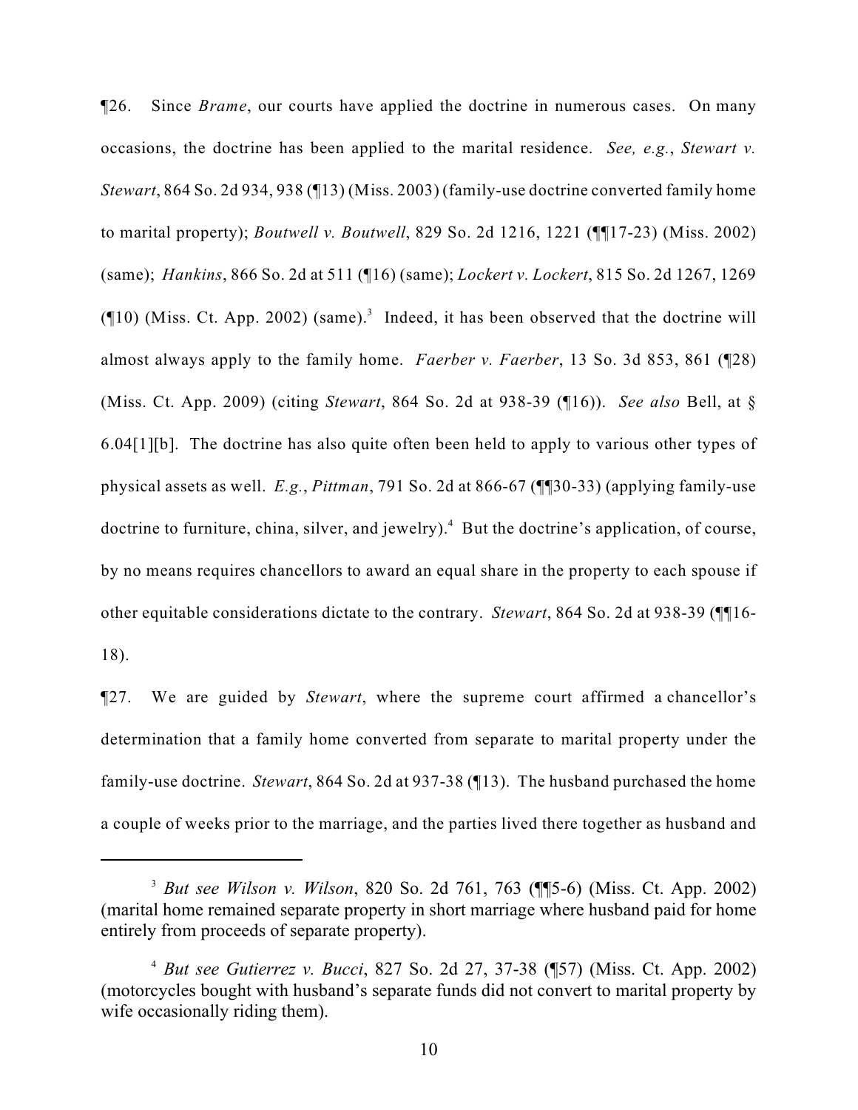¶26. Since *Brame*, our courts have applied the doctrine in numerous cases. On many occasions, the doctrine has been applied to the marital residence. *See, e.g.*, *Stewart v. Stewart*, 864 So. 2d 934, 938 (¶13) (Miss. 2003) (family-use doctrine converted family home to marital property); *Boutwell v. Boutwell*, 829 So. 2d 1216, 1221 (¶¶17-23) (Miss. 2002) (same); *Hankins*, 866 So. 2d at 511 (¶16) (same); *Lockert v. Lockert*, 815 So. 2d 1267, 1269 ( $\P$ 10) (Miss. Ct. App. 2002) (same).<sup>3</sup> Indeed, it has been observed that the doctrine will almost always apply to the family home. *Faerber v. Faerber*, 13 So. 3d 853, 861 (¶28) (Miss. Ct. App. 2009) (citing *Stewart*, 864 So. 2d at 938-39 (¶16)). *See also* Bell, at § 6.04[1][b]. The doctrine has also quite often been held to apply to various other types of physical assets as well. *E.g.*, *Pittman*, 791 So. 2d at 866-67 (¶¶30-33) (applying family-use doctrine to furniture, china, silver, and jewelry).<sup>4</sup> But the doctrine's application, of course, by no means requires chancellors to award an equal share in the property to each spouse if other equitable considerations dictate to the contrary. *Stewart*, 864 So. 2d at 938-39 (¶¶16- 18).

¶27. We are guided by *Stewart*, where the supreme court affirmed a chancellor's determination that a family home converted from separate to marital property under the family-use doctrine. *Stewart*, 864 So. 2d at 937-38 (¶13). The husband purchased the home a couple of weeks prior to the marriage, and the parties lived there together as husband and

*But see Wilson v. Wilson*, 820 So. 2d 761, 763 (¶¶5-6) (Miss. Ct. App. 2002) <sup>3</sup> (marital home remained separate property in short marriage where husband paid for home entirely from proceeds of separate property).

*But see Gutierrez v. Bucci*, 827 So. 2d 27, 37-38 (¶57) (Miss. Ct. App. 2002) <sup>4</sup> (motorcycles bought with husband's separate funds did not convert to marital property by wife occasionally riding them).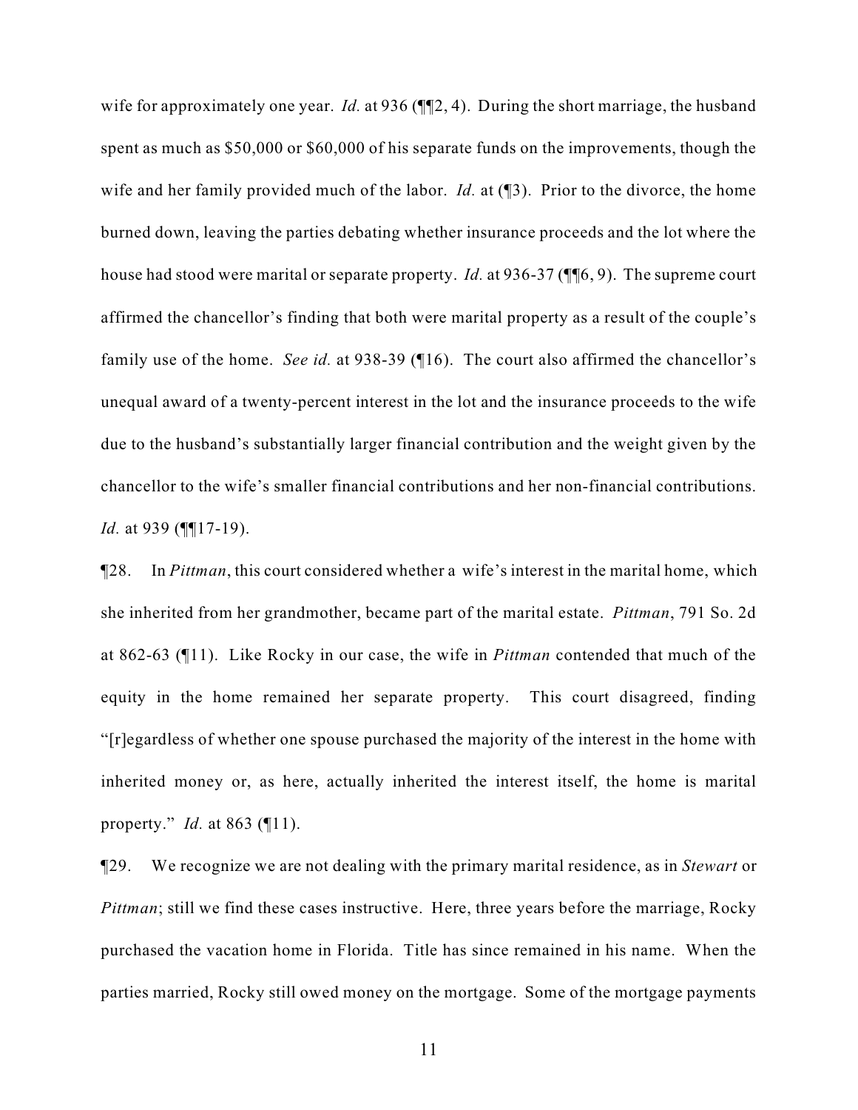wife for approximately one year. *Id.* at 936 ( $\P$  $[2, 4)$ ). During the short marriage, the husband spent as much as \$50,000 or \$60,000 of his separate funds on the improvements, though the wife and her family provided much of the labor. *Id.* at (13). Prior to the divorce, the home burned down, leaving the parties debating whether insurance proceeds and the lot where the house had stood were marital or separate property. *Id.* at 936-37 (¶¶6, 9). The supreme court affirmed the chancellor's finding that both were marital property as a result of the couple's family use of the home. *See id.* at 938-39 (¶16). The court also affirmed the chancellor's unequal award of a twenty-percent interest in the lot and the insurance proceeds to the wife due to the husband's substantially larger financial contribution and the weight given by the chancellor to the wife's smaller financial contributions and her non-financial contributions. *Id.* at 939 (¶¶17-19).

¶28. In *Pittman*, this court considered whether a wife's interest in the marital home, which she inherited from her grandmother, became part of the marital estate. *Pittman*, 791 So. 2d at 862-63 (¶11). Like Rocky in our case, the wife in *Pittman* contended that much of the equity in the home remained her separate property. This court disagreed, finding "[r]egardless of whether one spouse purchased the majority of the interest in the home with inherited money or, as here, actually inherited the interest itself, the home is marital property." *Id.* at 863 (¶11).

¶29. We recognize we are not dealing with the primary marital residence, as in *Stewart* or *Pittman*; still we find these cases instructive. Here, three years before the marriage, Rocky purchased the vacation home in Florida. Title has since remained in his name. When the parties married, Rocky still owed money on the mortgage. Some of the mortgage payments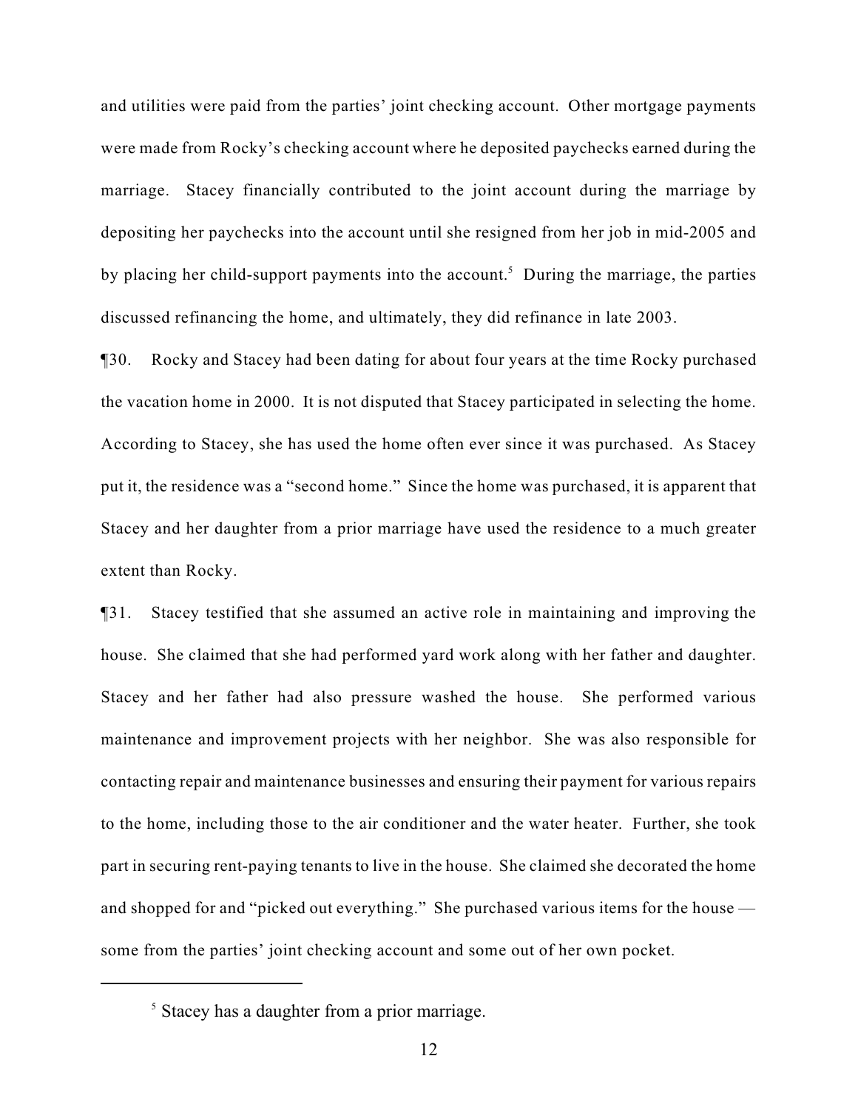and utilities were paid from the parties' joint checking account. Other mortgage payments were made from Rocky's checking account where he deposited paychecks earned during the marriage. Stacey financially contributed to the joint account during the marriage by depositing her paychecks into the account until she resigned from her job in mid-2005 and by placing her child-support payments into the account.<sup>5</sup> During the marriage, the parties discussed refinancing the home, and ultimately, they did refinance in late 2003.

¶30. Rocky and Stacey had been dating for about four years at the time Rocky purchased the vacation home in 2000. It is not disputed that Stacey participated in selecting the home. According to Stacey, she has used the home often ever since it was purchased. As Stacey put it, the residence was a "second home." Since the home was purchased, it is apparent that Stacey and her daughter from a prior marriage have used the residence to a much greater extent than Rocky.

¶31. Stacey testified that she assumed an active role in maintaining and improving the house. She claimed that she had performed yard work along with her father and daughter. Stacey and her father had also pressure washed the house. She performed various maintenance and improvement projects with her neighbor. She was also responsible for contacting repair and maintenance businesses and ensuring their payment for various repairs to the home, including those to the air conditioner and the water heater. Further, she took part in securing rent-paying tenants to live in the house. She claimed she decorated the home and shopped for and "picked out everything." She purchased various items for the house some from the parties' joint checking account and some out of her own pocket.

 $\frac{1}{5}$  Stacey has a daughter from a prior marriage.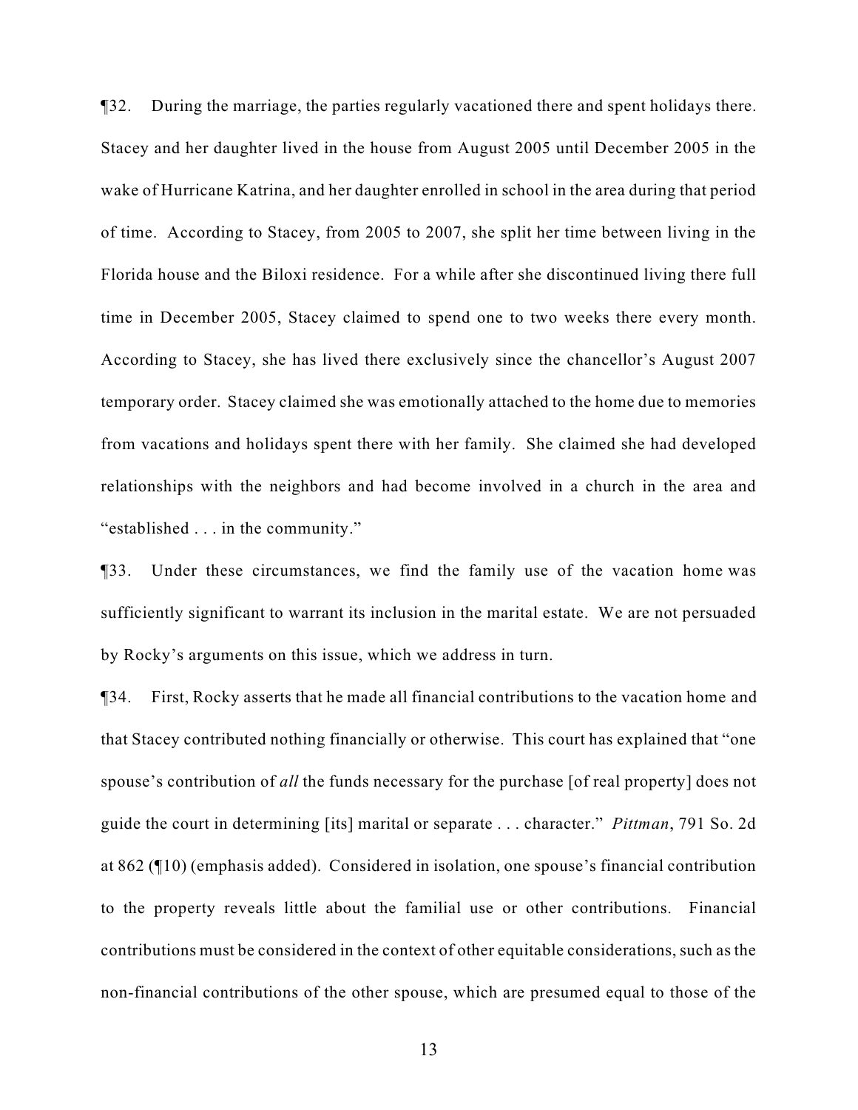¶32. During the marriage, the parties regularly vacationed there and spent holidays there. Stacey and her daughter lived in the house from August 2005 until December 2005 in the wake of Hurricane Katrina, and her daughter enrolled in school in the area during that period of time. According to Stacey, from 2005 to 2007, she split her time between living in the Florida house and the Biloxi residence. For a while after she discontinued living there full time in December 2005, Stacey claimed to spend one to two weeks there every month. According to Stacey, she has lived there exclusively since the chancellor's August 2007 temporary order. Stacey claimed she was emotionally attached to the home due to memories from vacations and holidays spent there with her family. She claimed she had developed relationships with the neighbors and had become involved in a church in the area and "established . . . in the community."

¶33. Under these circumstances, we find the family use of the vacation home was sufficiently significant to warrant its inclusion in the marital estate. We are not persuaded by Rocky's arguments on this issue, which we address in turn.

¶34. First, Rocky asserts that he made all financial contributions to the vacation home and that Stacey contributed nothing financially or otherwise. This court has explained that "one spouse's contribution of *all* the funds necessary for the purchase [of real property] does not guide the court in determining [its] marital or separate . . . character." *Pittman*, 791 So. 2d at 862 (¶10) (emphasis added). Considered in isolation, one spouse's financial contribution to the property reveals little about the familial use or other contributions. Financial contributions must be considered in the context of other equitable considerations, such as the non-financial contributions of the other spouse, which are presumed equal to those of the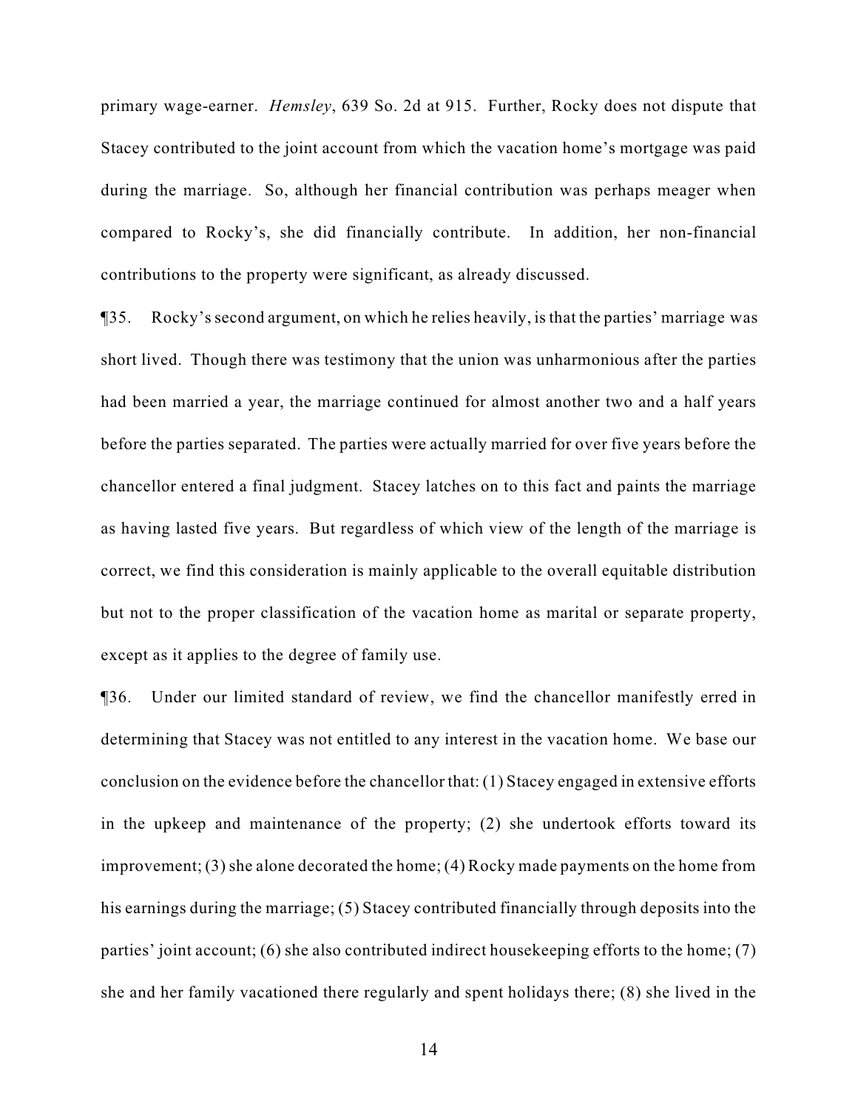primary wage-earner. *Hemsley*, 639 So. 2d at 915. Further, Rocky does not dispute that Stacey contributed to the joint account from which the vacation home's mortgage was paid during the marriage. So, although her financial contribution was perhaps meager when compared to Rocky's, she did financially contribute. In addition, her non-financial contributions to the property were significant, as already discussed.

¶35. Rocky's second argument, on which he relies heavily, is that the parties' marriage was short lived. Though there was testimony that the union was unharmonious after the parties had been married a year, the marriage continued for almost another two and a half years before the parties separated. The parties were actually married for over five years before the chancellor entered a final judgment. Stacey latches on to this fact and paints the marriage as having lasted five years. But regardless of which view of the length of the marriage is correct, we find this consideration is mainly applicable to the overall equitable distribution but not to the proper classification of the vacation home as marital or separate property, except as it applies to the degree of family use.

¶36. Under our limited standard of review, we find the chancellor manifestly erred in determining that Stacey was not entitled to any interest in the vacation home. We base our conclusion on the evidence before the chancellor that: (1) Stacey engaged in extensive efforts in the upkeep and maintenance of the property; (2) she undertook efforts toward its improvement; (3) she alone decorated the home; (4) Rocky made payments on the home from his earnings during the marriage; (5) Stacey contributed financially through deposits into the parties' joint account; (6) she also contributed indirect housekeeping efforts to the home; (7) she and her family vacationed there regularly and spent holidays there; (8) she lived in the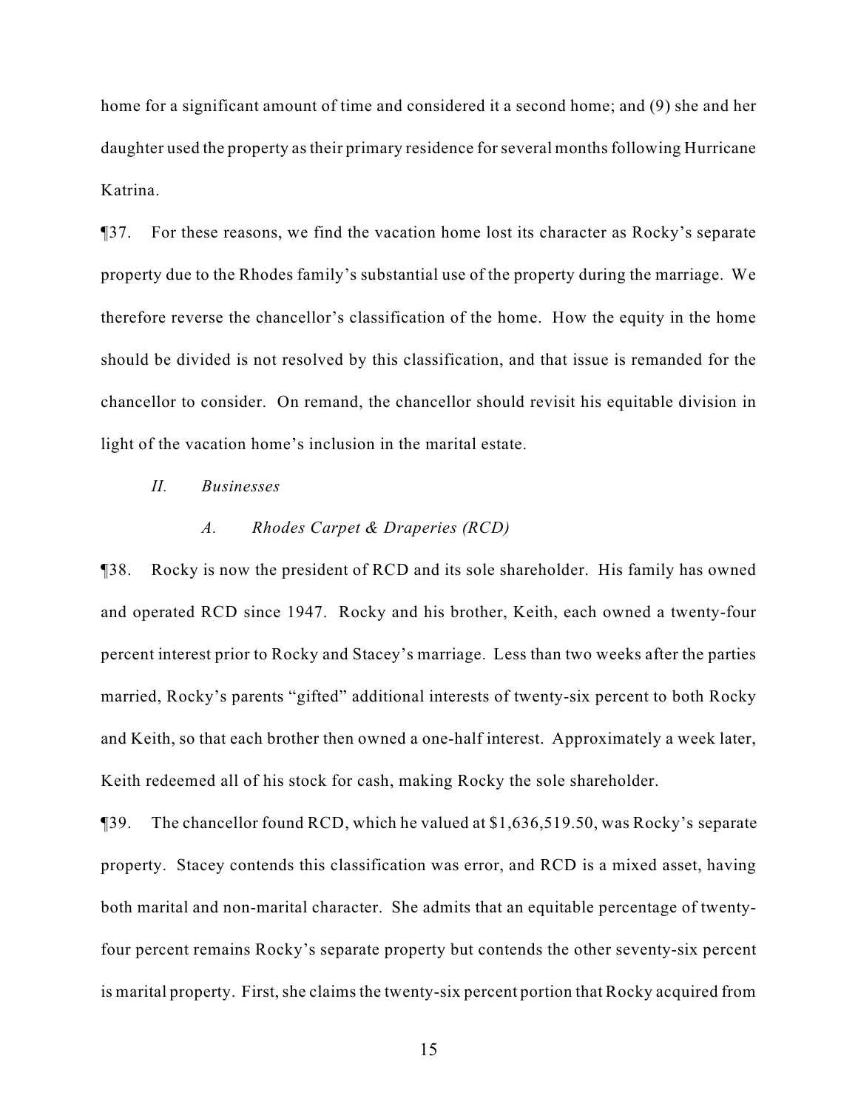home for a significant amount of time and considered it a second home; and (9) she and her daughter used the property as their primary residence for several months following Hurricane Katrina.

¶37. For these reasons, we find the vacation home lost its character as Rocky's separate property due to the Rhodes family's substantial use of the property during the marriage. We therefore reverse the chancellor's classification of the home. How the equity in the home should be divided is not resolved by this classification, and that issue is remanded for the chancellor to consider. On remand, the chancellor should revisit his equitable division in light of the vacation home's inclusion in the marital estate.

# *II. Businesses*

### *A. Rhodes Carpet & Draperies (RCD)*

¶38. Rocky is now the president of RCD and its sole shareholder. His family has owned and operated RCD since 1947. Rocky and his brother, Keith, each owned a twenty-four percent interest prior to Rocky and Stacey's marriage. Less than two weeks after the parties married, Rocky's parents "gifted" additional interests of twenty-six percent to both Rocky and Keith, so that each brother then owned a one-half interest. Approximately a week later, Keith redeemed all of his stock for cash, making Rocky the sole shareholder.

¶39. The chancellor found RCD, which he valued at \$1,636,519.50, was Rocky's separate property. Stacey contends this classification was error, and RCD is a mixed asset, having both marital and non-marital character. She admits that an equitable percentage of twentyfour percent remains Rocky's separate property but contends the other seventy-six percent is marital property. First, she claims the twenty-six percent portion that Rocky acquired from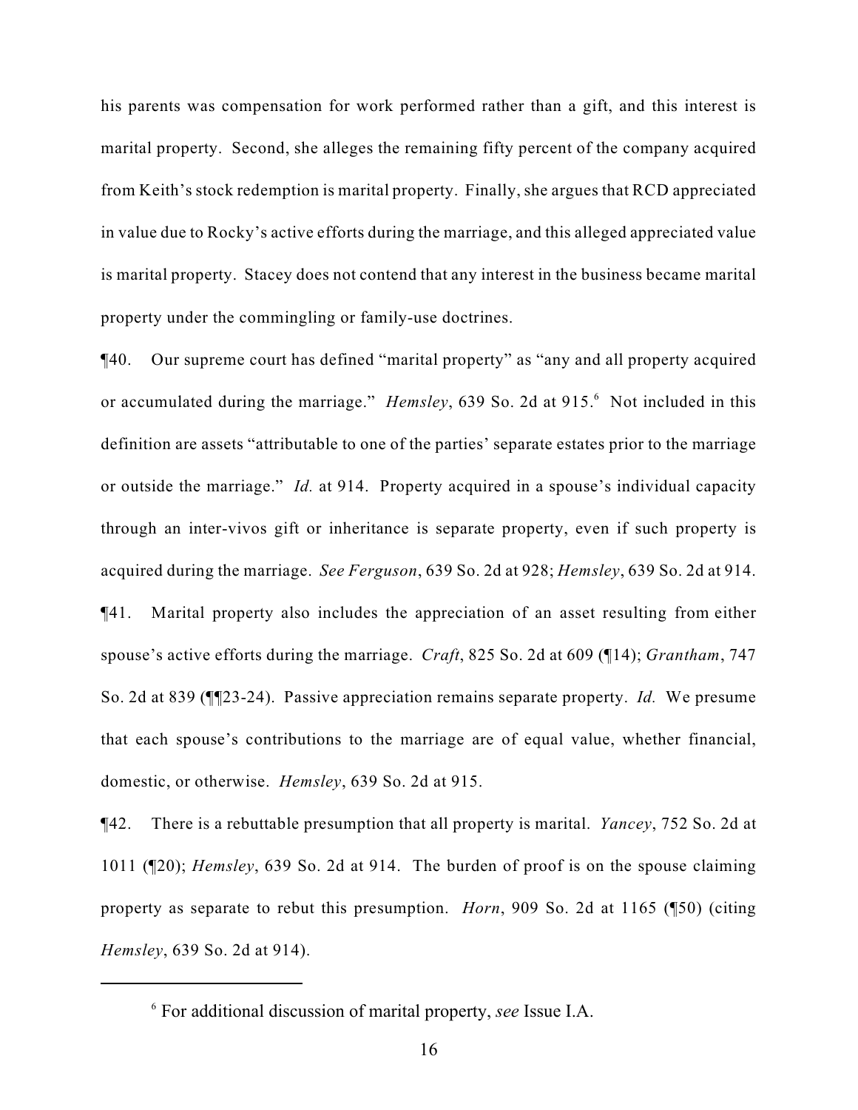his parents was compensation for work performed rather than a gift, and this interest is marital property. Second, she alleges the remaining fifty percent of the company acquired from Keith's stock redemption is marital property. Finally, she argues that RCD appreciated in value due to Rocky's active efforts during the marriage, and this alleged appreciated value is marital property. Stacey does not contend that any interest in the business became marital property under the commingling or family-use doctrines.

¶40. Our supreme court has defined "marital property" as "any and all property acquired or accumulated during the marriage." *Hemsley*, 639 So. 2d at 915.<sup>6</sup> Not included in this definition are assets "attributable to one of the parties' separate estates prior to the marriage or outside the marriage." *Id.* at 914. Property acquired in a spouse's individual capacity through an inter-vivos gift or inheritance is separate property, even if such property is acquired during the marriage. *See Ferguson*, 639 So. 2d at 928; *Hemsley*, 639 So. 2d at 914. ¶41. Marital property also includes the appreciation of an asset resulting from either spouse's active efforts during the marriage. *Craft*, 825 So. 2d at 609 (¶14); *Grantham*, 747 So. 2d at 839 (¶¶23-24). Passive appreciation remains separate property. *Id.* We presume that each spouse's contributions to the marriage are of equal value, whether financial, domestic, or otherwise. *Hemsley*, 639 So. 2d at 915.

¶42. There is a rebuttable presumption that all property is marital. *Yancey*, 752 So. 2d at 1011 (¶20); *Hemsley*, 639 So. 2d at 914. The burden of proof is on the spouse claiming property as separate to rebut this presumption. *Horn*, 909 So. 2d at 1165 (¶50) (citing *Hemsley*, 639 So. 2d at 914).

For additional discussion of marital property, *see* Issue I.A. <sup>6</sup>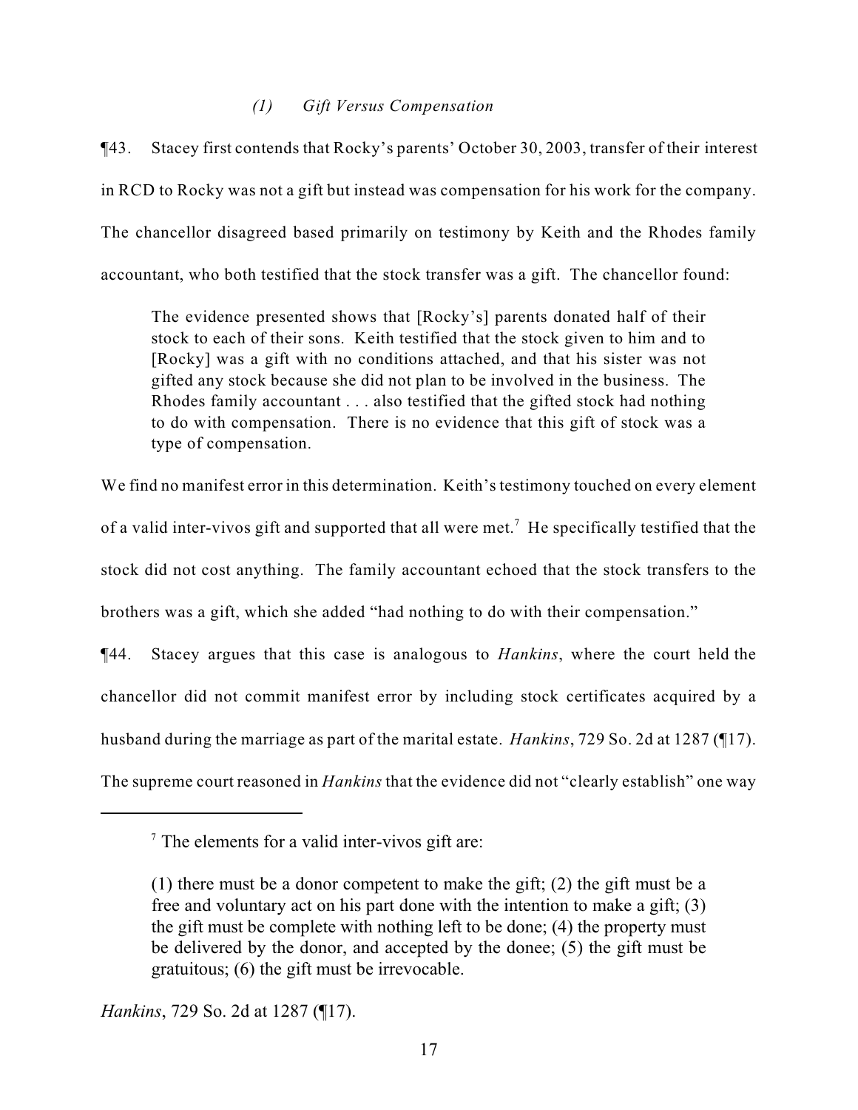# *(1) Gift Versus Compensation*

¶43. Stacey first contends that Rocky's parents' October 30, 2003, transfer of their interest in RCD to Rocky was not a gift but instead was compensation for his work for the company. The chancellor disagreed based primarily on testimony by Keith and the Rhodes family accountant, who both testified that the stock transfer was a gift. The chancellor found:

The evidence presented shows that [Rocky's] parents donated half of their stock to each of their sons. Keith testified that the stock given to him and to [Rocky] was a gift with no conditions attached, and that his sister was not gifted any stock because she did not plan to be involved in the business. The Rhodes family accountant . . . also testified that the gifted stock had nothing to do with compensation. There is no evidence that this gift of stock was a type of compensation.

We find no manifest error in this determination. Keith's testimony touched on every element of a valid inter-vivos gift and supported that all were met.<sup>7</sup> He specifically testified that the stock did not cost anything. The family accountant echoed that the stock transfers to the brothers was a gift, which she added "had nothing to do with their compensation."

¶44. Stacey argues that this case is analogous to *Hankins*, where the court held the chancellor did not commit manifest error by including stock certificates acquired by a husband during the marriage as part of the marital estate. *Hankins*, 729 So. 2d at 1287 (¶17). The supreme court reasoned in *Hankins* that the evidence did not "clearly establish" one way

*Hankins*, 729 So. 2d at 1287 (¶17).

 $\frac{7}{7}$  The elements for a valid inter-vivos gift are:

<sup>(1)</sup> there must be a donor competent to make the gift; (2) the gift must be a free and voluntary act on his part done with the intention to make a gift; (3) the gift must be complete with nothing left to be done; (4) the property must be delivered by the donor, and accepted by the donee; (5) the gift must be gratuitous; (6) the gift must be irrevocable.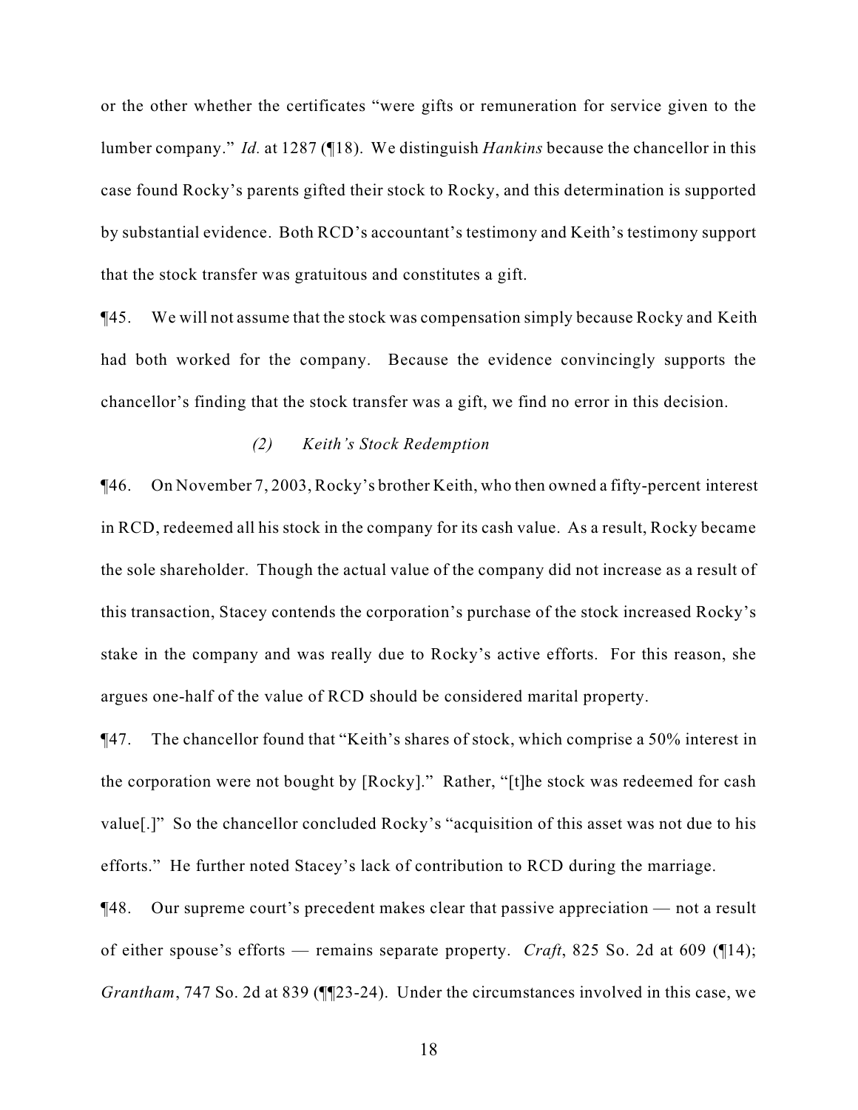or the other whether the certificates "were gifts or remuneration for service given to the lumber company." *Id.* at 1287 (¶18). We distinguish *Hankins* because the chancellor in this case found Rocky's parents gifted their stock to Rocky, and this determination is supported by substantial evidence. Both RCD's accountant's testimony and Keith's testimony support that the stock transfer was gratuitous and constitutes a gift.

¶45. We will not assume that the stock was compensation simply because Rocky and Keith had both worked for the company. Because the evidence convincingly supports the chancellor's finding that the stock transfer was a gift, we find no error in this decision.

# *(2) Keith's Stock Redemption*

¶46. On November 7, 2003, Rocky's brother Keith, who then owned a fifty-percent interest in RCD, redeemed all his stock in the company for its cash value. As a result, Rocky became the sole shareholder. Though the actual value of the company did not increase as a result of this transaction, Stacey contends the corporation's purchase of the stock increased Rocky's stake in the company and was really due to Rocky's active efforts. For this reason, she argues one-half of the value of RCD should be considered marital property.

¶47. The chancellor found that "Keith's shares of stock, which comprise a 50% interest in the corporation were not bought by [Rocky]." Rather, "[t]he stock was redeemed for cash value[.]" So the chancellor concluded Rocky's "acquisition of this asset was not due to his efforts." He further noted Stacey's lack of contribution to RCD during the marriage.

¶48. Our supreme court's precedent makes clear that passive appreciation — not a result of either spouse's efforts — remains separate property. *Craft*, 825 So. 2d at 609 (¶14); *Grantham*, 747 So. 2d at 839 (¶¶23-24). Under the circumstances involved in this case, we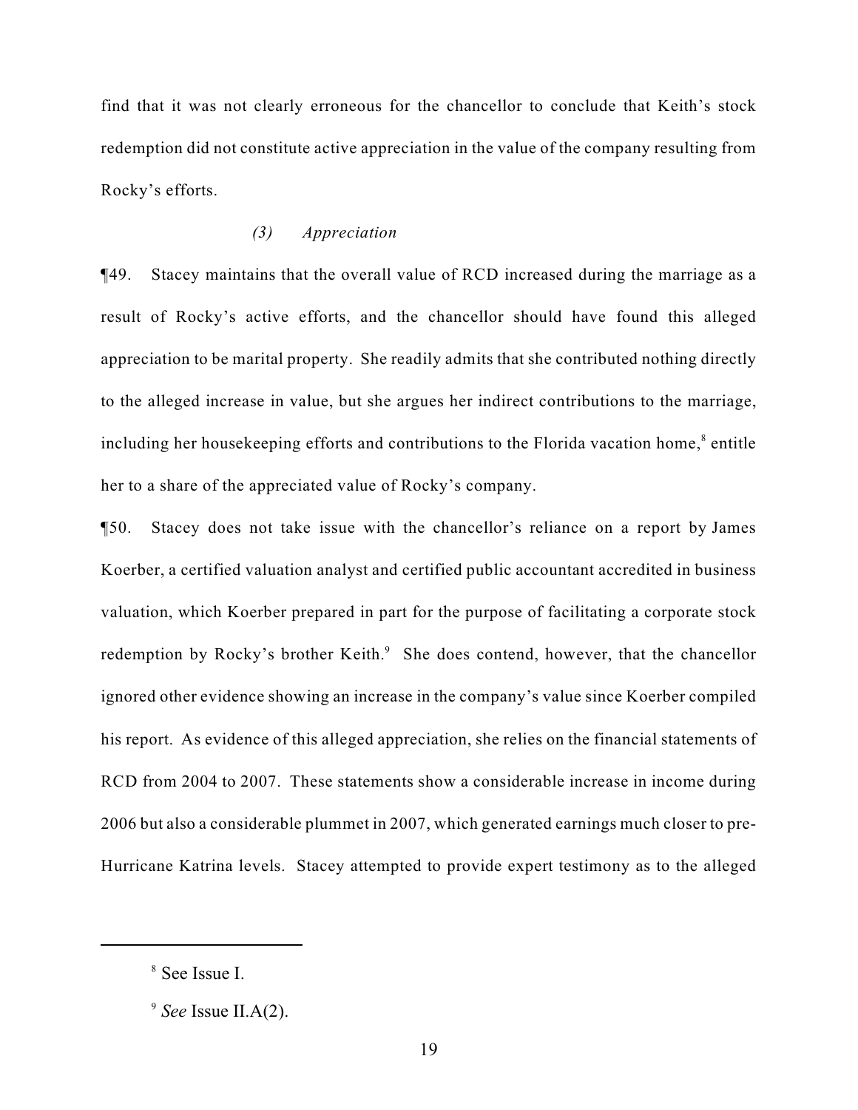find that it was not clearly erroneous for the chancellor to conclude that Keith's stock redemption did not constitute active appreciation in the value of the company resulting from Rocky's efforts.

### *(3) Appreciation*

¶49. Stacey maintains that the overall value of RCD increased during the marriage as a result of Rocky's active efforts, and the chancellor should have found this alleged appreciation to be marital property. She readily admits that she contributed nothing directly to the alleged increase in value, but she argues her indirect contributions to the marriage, including her housekeeping efforts and contributions to the Florida vacation home,<sup>8</sup> entitle her to a share of the appreciated value of Rocky's company.

¶50. Stacey does not take issue with the chancellor's reliance on a report by James Koerber, a certified valuation analyst and certified public accountant accredited in business valuation, which Koerber prepared in part for the purpose of facilitating a corporate stock redemption by Rocky's brother Keith. $\degree$  She does contend, however, that the chancellor ignored other evidence showing an increase in the company's value since Koerber compiled his report. As evidence of this alleged appreciation, she relies on the financial statements of RCD from 2004 to 2007. These statements show a considerable increase in income during 2006 but also a considerable plummet in 2007, which generated earnings much closer to pre-Hurricane Katrina levels. Stacey attempted to provide expert testimony as to the alleged

<sup>&</sup>lt;sup>8</sup> See Issue I.

 $<sup>9</sup>$  *See* Issue II.A(2).</sup>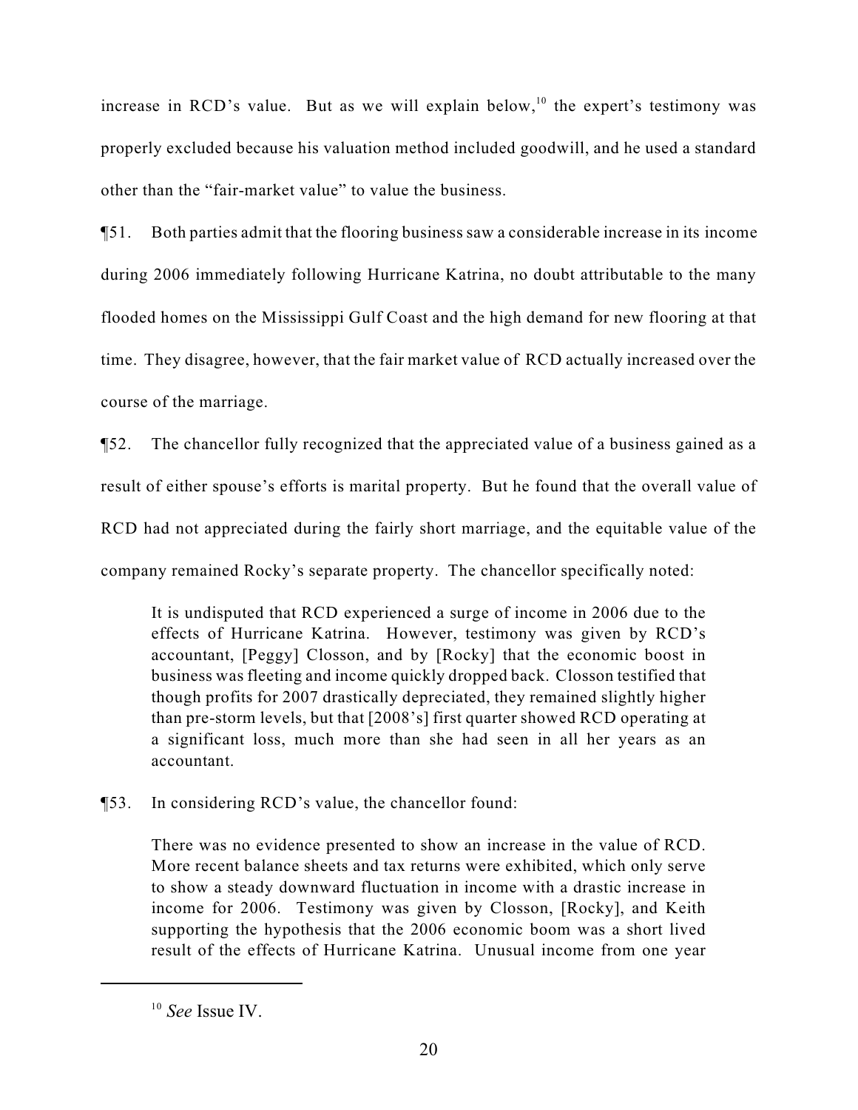increase in RCD's value. But as we will explain below,  $10$  the expert's testimony was properly excluded because his valuation method included goodwill, and he used a standard other than the "fair-market value" to value the business.

¶51. Both parties admit that the flooring business saw a considerable increase in its income during 2006 immediately following Hurricane Katrina, no doubt attributable to the many flooded homes on the Mississippi Gulf Coast and the high demand for new flooring at that time. They disagree, however, that the fair market value of RCD actually increased over the course of the marriage.

¶52. The chancellor fully recognized that the appreciated value of a business gained as a result of either spouse's efforts is marital property. But he found that the overall value of RCD had not appreciated during the fairly short marriage, and the equitable value of the company remained Rocky's separate property. The chancellor specifically noted:

It is undisputed that RCD experienced a surge of income in 2006 due to the effects of Hurricane Katrina. However, testimony was given by RCD's accountant, [Peggy] Closson, and by [Rocky] that the economic boost in business was fleeting and income quickly dropped back. Closson testified that though profits for 2007 drastically depreciated, they remained slightly higher than pre-storm levels, but that [2008's] first quarter showed RCD operating at a significant loss, much more than she had seen in all her years as an accountant.

¶53. In considering RCD's value, the chancellor found:

There was no evidence presented to show an increase in the value of RCD. More recent balance sheets and tax returns were exhibited, which only serve to show a steady downward fluctuation in income with a drastic increase in income for 2006. Testimony was given by Closson, [Rocky], and Keith supporting the hypothesis that the 2006 economic boom was a short lived result of the effects of Hurricane Katrina. Unusual income from one year

 $10$  *See* Issue IV.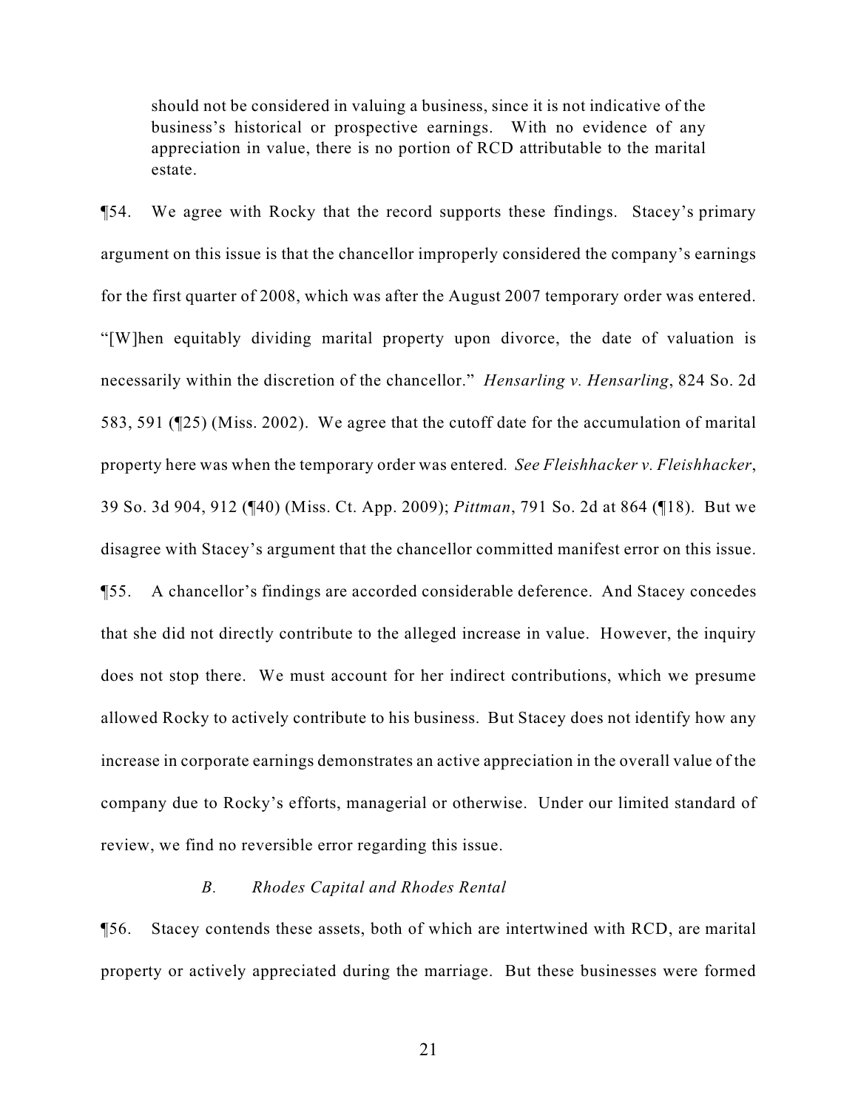should not be considered in valuing a business, since it is not indicative of the business's historical or prospective earnings. With no evidence of any appreciation in value, there is no portion of RCD attributable to the marital estate.

¶54. We agree with Rocky that the record supports these findings. Stacey's primary argument on this issue is that the chancellor improperly considered the company's earnings for the first quarter of 2008, which was after the August 2007 temporary order was entered. "[W]hen equitably dividing marital property upon divorce, the date of valuation is necessarily within the discretion of the chancellor." *Hensarling v. Hensarling*, 824 So. 2d 583, 591 (¶25) (Miss. 2002). We agree that the cutoff date for the accumulation of marital property here was when the temporary order was entered*. See Fleishhacker v. Fleishhacker*, 39 So. 3d 904, 912 (¶40) (Miss. Ct. App. 2009); *Pittman*, 791 So. 2d at 864 (¶18). But we disagree with Stacey's argument that the chancellor committed manifest error on this issue. ¶55. A chancellor's findings are accorded considerable deference. And Stacey concedes that she did not directly contribute to the alleged increase in value. However, the inquiry does not stop there. We must account for her indirect contributions, which we presume allowed Rocky to actively contribute to his business. But Stacey does not identify how any increase in corporate earnings demonstrates an active appreciation in the overall value of the company due to Rocky's efforts, managerial or otherwise. Under our limited standard of review, we find no reversible error regarding this issue.

# *B. Rhodes Capital and Rhodes Rental*

¶56. Stacey contends these assets, both of which are intertwined with RCD, are marital property or actively appreciated during the marriage. But these businesses were formed

21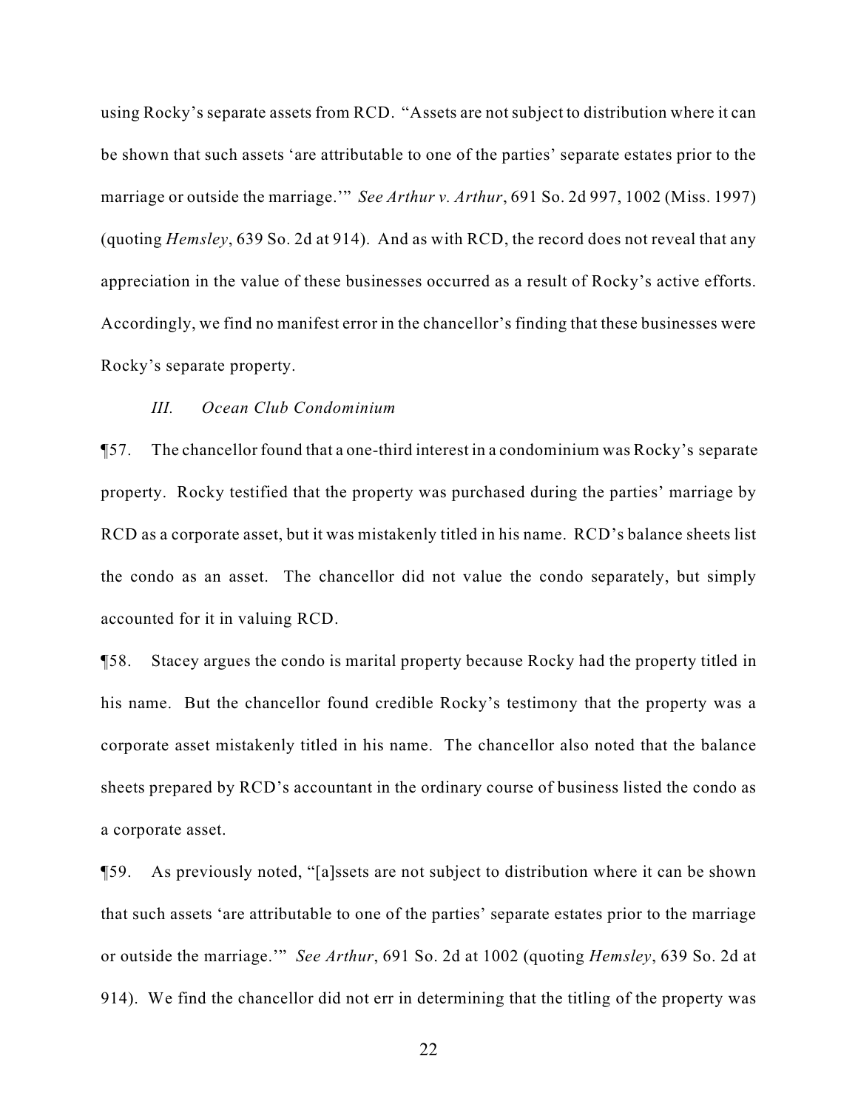using Rocky's separate assets from RCD. "Assets are not subject to distribution where it can be shown that such assets 'are attributable to one of the parties' separate estates prior to the marriage or outside the marriage.'" *See Arthur v. Arthur*, 691 So. 2d 997, 1002 (Miss. 1997) (quoting *Hemsley*, 639 So. 2d at 914). And as with RCD, the record does not reveal that any appreciation in the value of these businesses occurred as a result of Rocky's active efforts. Accordingly, we find no manifest error in the chancellor's finding that these businesses were Rocky's separate property.

#### *III. Ocean Club Condominium*

¶57. The chancellor found that a one-third interest in a condominium was Rocky's separate property. Rocky testified that the property was purchased during the parties' marriage by RCD as a corporate asset, but it was mistakenly titled in his name. RCD's balance sheets list the condo as an asset. The chancellor did not value the condo separately, but simply accounted for it in valuing RCD.

¶58. Stacey argues the condo is marital property because Rocky had the property titled in his name. But the chancellor found credible Rocky's testimony that the property was a corporate asset mistakenly titled in his name. The chancellor also noted that the balance sheets prepared by RCD's accountant in the ordinary course of business listed the condo as a corporate asset.

¶59. As previously noted, "[a]ssets are not subject to distribution where it can be shown that such assets 'are attributable to one of the parties' separate estates prior to the marriage or outside the marriage.'" *See Arthur*, 691 So. 2d at 1002 (quoting *Hemsley*, 639 So. 2d at 914). We find the chancellor did not err in determining that the titling of the property was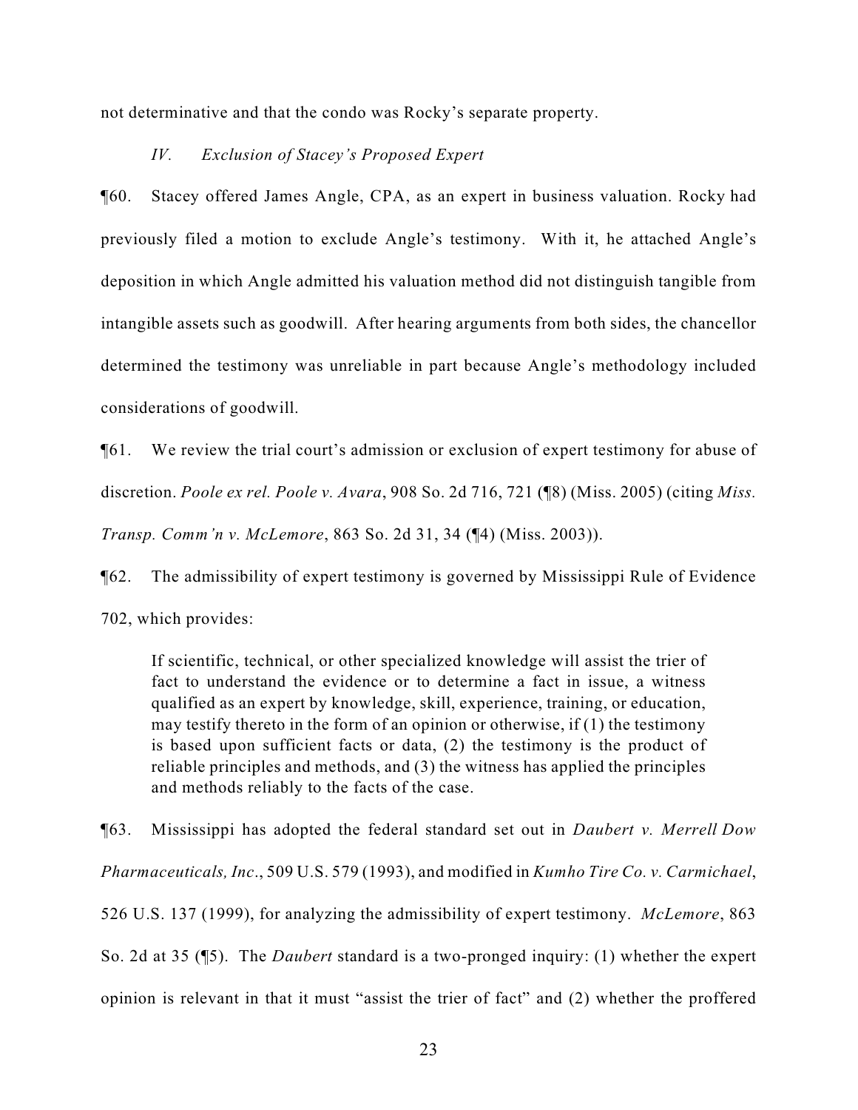not determinative and that the condo was Rocky's separate property.

# *IV. Exclusion of Stacey's Proposed Expert*

¶60. Stacey offered James Angle, CPA, as an expert in business valuation. Rocky had previously filed a motion to exclude Angle's testimony. With it, he attached Angle's deposition in which Angle admitted his valuation method did not distinguish tangible from intangible assets such as goodwill. After hearing arguments from both sides, the chancellor determined the testimony was unreliable in part because Angle's methodology included considerations of goodwill.

¶61. We review the trial court's admission or exclusion of expert testimony for abuse of discretion. *Poole ex rel. Poole v. Avara*, 908 So. 2d 716, 721 (¶8) (Miss. 2005) (citing *Miss. Transp. Comm'n v. McLemore*, 863 So. 2d 31, 34 (¶4) (Miss. 2003)).

¶62. The admissibility of expert testimony is governed by Mississippi Rule of Evidence 702, which provides:

If scientific, technical, or other specialized knowledge will assist the trier of fact to understand the evidence or to determine a fact in issue, a witness qualified as an expert by knowledge, skill, experience, training, or education, may testify thereto in the form of an opinion or otherwise, if (1) the testimony is based upon sufficient facts or data, (2) the testimony is the product of reliable principles and methods, and (3) the witness has applied the principles and methods reliably to the facts of the case.

¶63. Mississippi has adopted the federal standard set out in *Daubert v. Merrell Dow Pharmaceuticals, Inc*., 509 U.S. 579 (1993), and modified in *Kumho Tire Co. v. Carmichael*, 526 U.S. 137 (1999), for analyzing the admissibility of expert testimony. *McLemore*, 863 So. 2d at 35 (¶5). The *Daubert* standard is a two-pronged inquiry: (1) whether the expert opinion is relevant in that it must "assist the trier of fact" and (2) whether the proffered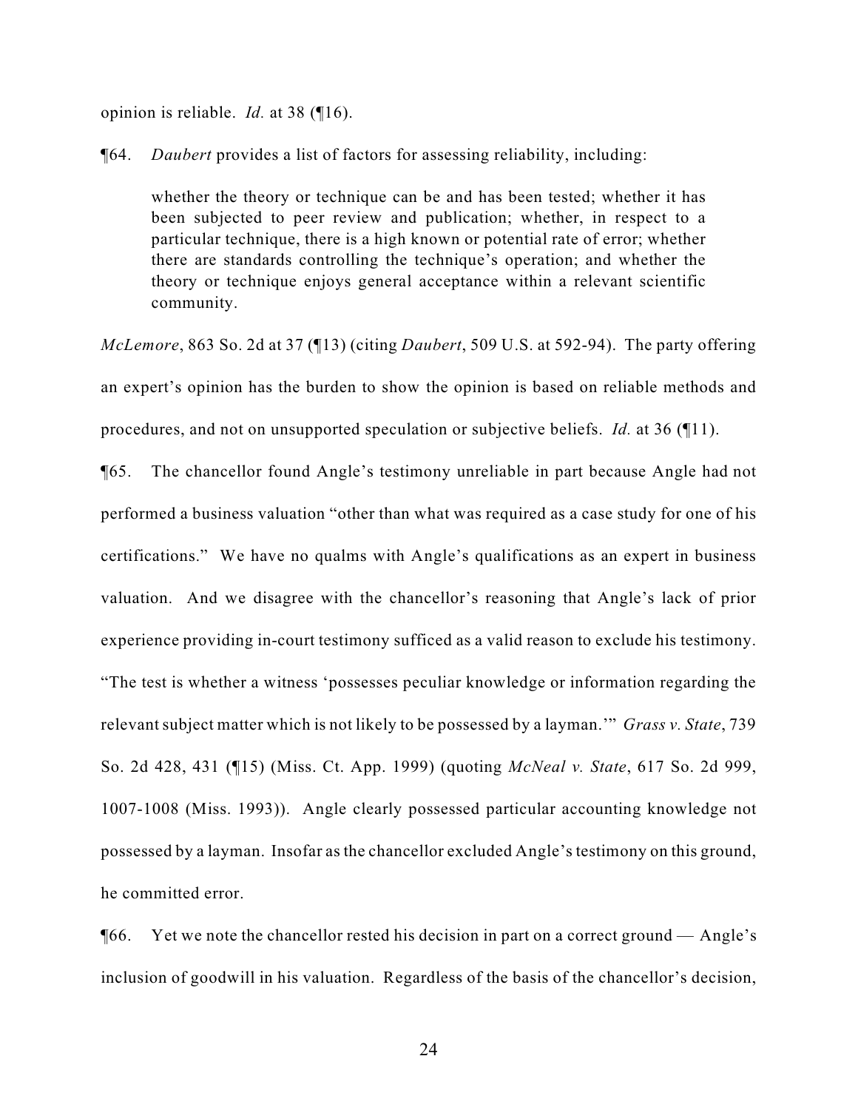opinion is reliable. *Id.* at 38 (¶16).

¶64. *Daubert* provides a list of factors for assessing reliability, including:

whether the theory or technique can be and has been tested; whether it has been subjected to peer review and publication; whether, in respect to a particular technique, there is a high known or potential rate of error; whether there are standards controlling the technique's operation; and whether the theory or technique enjoys general acceptance within a relevant scientific community.

*McLemore*, 863 So. 2d at 37 (¶13) (citing *Daubert*, 509 U.S. at 592-94). The party offering an expert's opinion has the burden to show the opinion is based on reliable methods and procedures, and not on unsupported speculation or subjective beliefs. *Id.* at 36 (¶11).

¶65. The chancellor found Angle's testimony unreliable in part because Angle had not performed a business valuation "other than what was required as a case study for one of his certifications." We have no qualms with Angle's qualifications as an expert in business valuation. And we disagree with the chancellor's reasoning that Angle's lack of prior experience providing in-court testimony sufficed as a valid reason to exclude his testimony. "The test is whether a witness 'possesses peculiar knowledge or information regarding the relevant subject matter which is not likely to be possessed by a layman.'" *Grass v. State*, 739 So. 2d 428, 431 (¶15) (Miss. Ct. App. 1999) (quoting *McNeal v. State*, 617 So. 2d 999, 1007-1008 (Miss. 1993)). Angle clearly possessed particular accounting knowledge not possessed by a layman. Insofar as the chancellor excluded Angle's testimony on this ground, he committed error.

 $\degree$  [66. Yet we note the chancellor rested his decision in part on a correct ground — Angle's inclusion of goodwill in his valuation. Regardless of the basis of the chancellor's decision,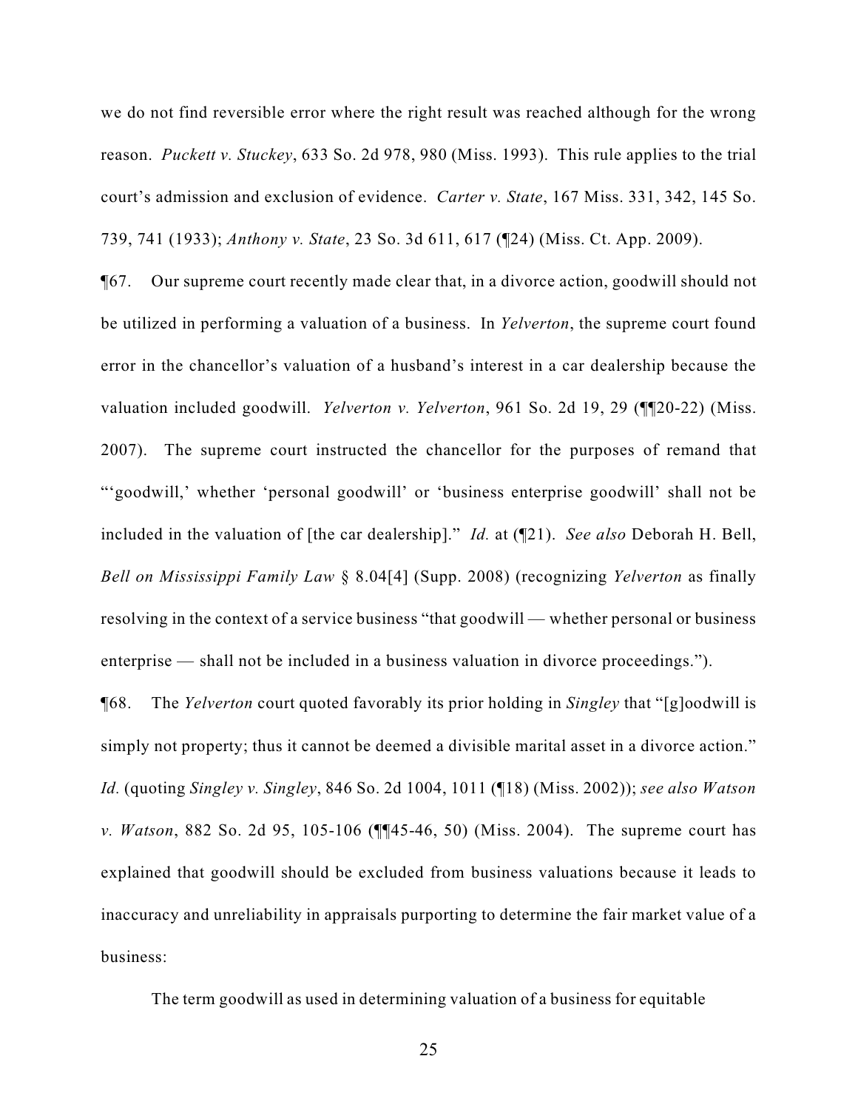we do not find reversible error where the right result was reached although for the wrong reason. *Puckett v. Stuckey*, 633 So. 2d 978, 980 (Miss. 1993). This rule applies to the trial court's admission and exclusion of evidence. *Carter v. State*, 167 Miss. 331, 342, 145 So. 739, 741 (1933); *Anthony v. State*, 23 So. 3d 611, 617 (¶24) (Miss. Ct. App. 2009).

¶67. Our supreme court recently made clear that, in a divorce action, goodwill should not be utilized in performing a valuation of a business. In *Yelverton*, the supreme court found error in the chancellor's valuation of a husband's interest in a car dealership because the valuation included goodwill. *Yelverton v. Yelverton*, 961 So. 2d 19, 29 (¶¶20-22) (Miss. 2007). The supreme court instructed the chancellor for the purposes of remand that "'goodwill,' whether 'personal goodwill' or 'business enterprise goodwill' shall not be included in the valuation of [the car dealership]." *Id.* at (¶21). *See also* Deborah H. Bell, *Bell on Mississippi Family Law* § 8.04[4] (Supp. 2008) (recognizing *Yelverton* as finally resolving in the context of a service business "that goodwill — whether personal or business enterprise — shall not be included in a business valuation in divorce proceedings.").

¶68. The *Yelverton* court quoted favorably its prior holding in *Singley* that "[g]oodwill is simply not property; thus it cannot be deemed a divisible marital asset in a divorce action." *Id.* (quoting *Singley v. Singley*, 846 So. 2d 1004, 1011 (¶18) (Miss. 2002)); *see also Watson v. Watson*, 882 So. 2d 95, 105-106 (¶¶45-46, 50) (Miss. 2004). The supreme court has explained that goodwill should be excluded from business valuations because it leads to inaccuracy and unreliability in appraisals purporting to determine the fair market value of a business:

The term goodwill as used in determining valuation of a business for equitable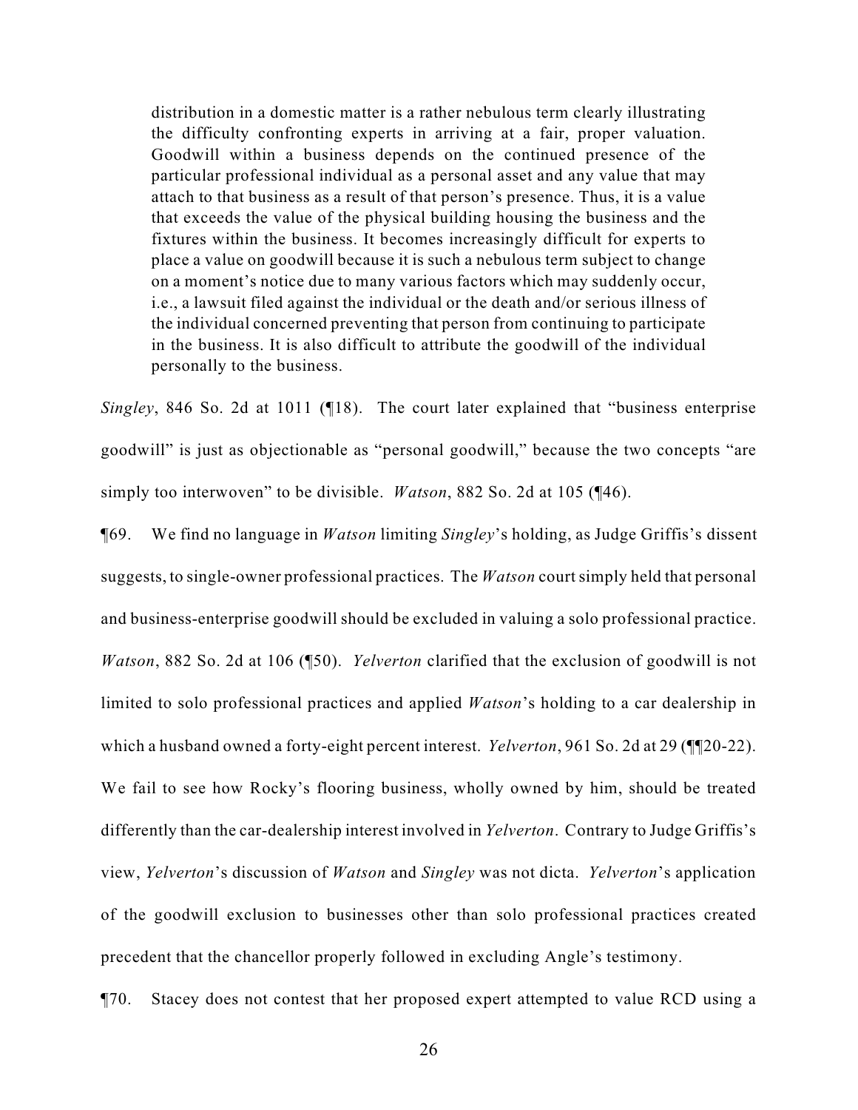distribution in a domestic matter is a rather nebulous term clearly illustrating the difficulty confronting experts in arriving at a fair, proper valuation. Goodwill within a business depends on the continued presence of the particular professional individual as a personal asset and any value that may attach to that business as a result of that person's presence. Thus, it is a value that exceeds the value of the physical building housing the business and the fixtures within the business. It becomes increasingly difficult for experts to place a value on goodwill because it is such a nebulous term subject to change on a moment's notice due to many various factors which may suddenly occur, i.e., a lawsuit filed against the individual or the death and/or serious illness of the individual concerned preventing that person from continuing to participate in the business. It is also difficult to attribute the goodwill of the individual personally to the business.

*Singley*, 846 So. 2d at 1011 (¶18). The court later explained that "business enterprise goodwill" is just as objectionable as "personal goodwill," because the two concepts "are simply too interwoven" to be divisible. *Watson*, 882 So. 2d at 105 (¶46).

¶69. We find no language in *Watson* limiting *Singley*'s holding, as Judge Griffis's dissent suggests, to single-owner professional practices. The *Watson* court simply held that personal and business-enterprise goodwill should be excluded in valuing a solo professional practice. *Watson*, 882 So. 2d at 106 (¶50). *Yelverton* clarified that the exclusion of goodwill is not limited to solo professional practices and applied *Watson*'s holding to a car dealership in which a husband owned a forty-eight percent interest. *Yelverton*, 961 So. 2d at 29 (¶¶20-22). We fail to see how Rocky's flooring business, wholly owned by him, should be treated differently than the car-dealership interest involved in *Yelverton*. Contrary to Judge Griffis's view, *Yelverton*'s discussion of *Watson* and *Singley* was not dicta. *Yelverton*'s application of the goodwill exclusion to businesses other than solo professional practices created precedent that the chancellor properly followed in excluding Angle's testimony.

¶70. Stacey does not contest that her proposed expert attempted to value RCD using a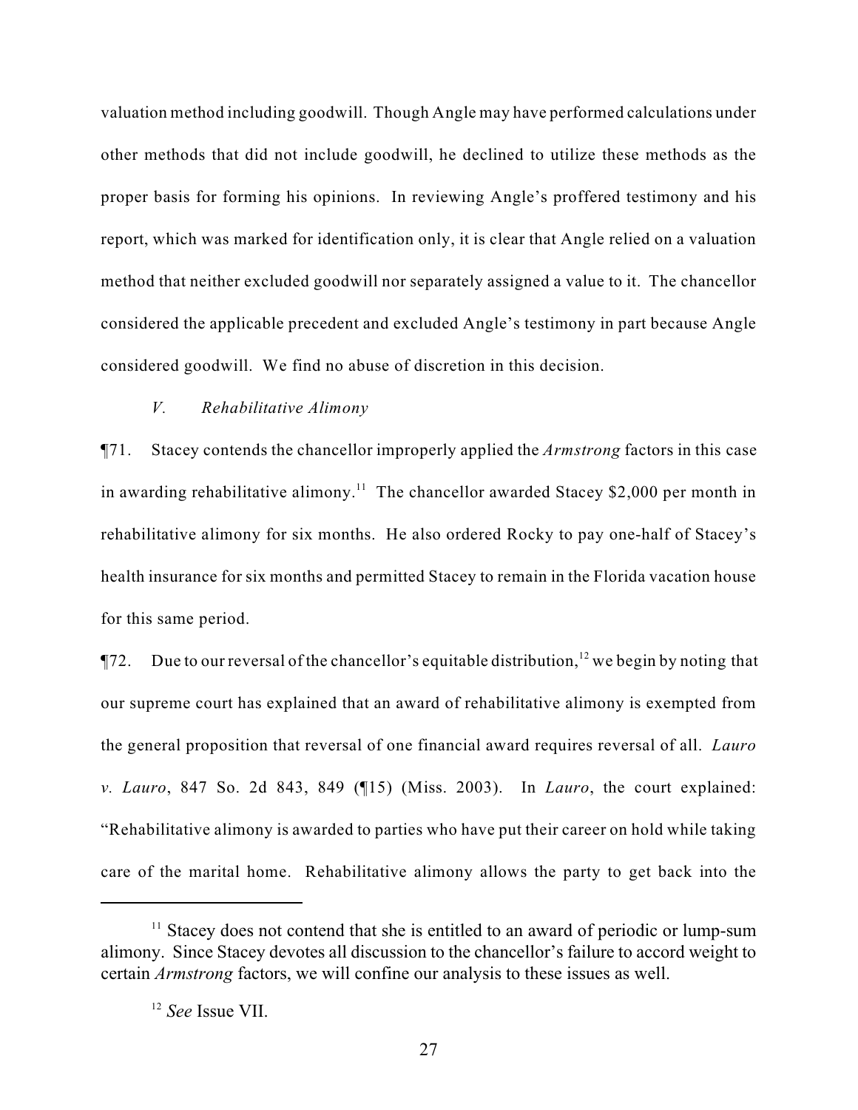valuation method including goodwill. Though Angle may have performed calculations under other methods that did not include goodwill, he declined to utilize these methods as the proper basis for forming his opinions. In reviewing Angle's proffered testimony and his report, which was marked for identification only, it is clear that Angle relied on a valuation method that neither excluded goodwill nor separately assigned a value to it. The chancellor considered the applicable precedent and excluded Angle's testimony in part because Angle considered goodwill. We find no abuse of discretion in this decision.

#### *V. Rehabilitative Alimony*

¶71. Stacey contends the chancellor improperly applied the *Armstrong* factors in this case in awarding rehabilitative alimony.<sup>11</sup> The chancellor awarded Stacey \$2,000 per month in rehabilitative alimony for six months. He also ordered Rocky to pay one-half of Stacey's health insurance for six months and permitted Stacey to remain in the Florida vacation house for this same period.

 $\P$ 72. Due to our reversal of the chancellor's equitable distribution, <sup>12</sup> we begin by noting that our supreme court has explained that an award of rehabilitative alimony is exempted from the general proposition that reversal of one financial award requires reversal of all. *Lauro v. Lauro*, 847 So. 2d 843, 849 (¶15) (Miss. 2003). In *Lauro*, the court explained: "Rehabilitative alimony is awarded to parties who have put their career on hold while taking care of the marital home. Rehabilitative alimony allows the party to get back into the

 $<sup>11</sup>$  Stacey does not contend that she is entitled to an award of periodic or lump-sum</sup> alimony. Since Stacey devotes all discussion to the chancellor's failure to accord weight to certain *Armstrong* factors, we will confine our analysis to these issues as well.

<sup>&</sup>lt;sup>12</sup> See Issue VII.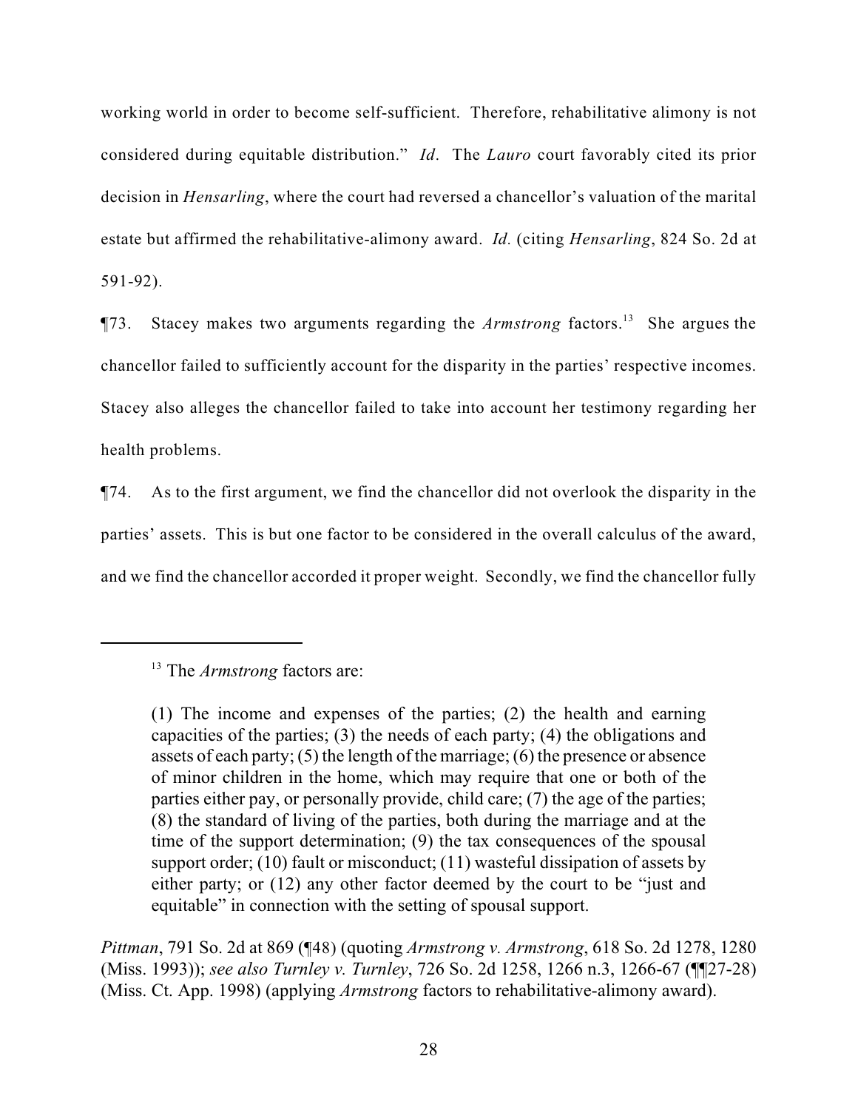working world in order to become self-sufficient. Therefore, rehabilitative alimony is not considered during equitable distribution." *Id*. The *Lauro* court favorably cited its prior decision in *Hensarling*, where the court had reversed a chancellor's valuation of the marital estate but affirmed the rehabilitative-alimony award. *Id.* (citing *Hensarling*, 824 So. 2d at 591-92).

 $\P$ 73. Stacey makes two arguments regarding the *Armstrong* factors.<sup>13</sup> She argues the chancellor failed to sufficiently account for the disparity in the parties' respective incomes. Stacey also alleges the chancellor failed to take into account her testimony regarding her health problems.

¶74. As to the first argument, we find the chancellor did not overlook the disparity in the parties' assets. This is but one factor to be considered in the overall calculus of the award, and we find the chancellor accorded it proper weight. Secondly, we find the chancellor fully

*Pittman*, 791 So. 2d at 869 (¶48) (quoting *Armstrong v. Armstrong*, 618 So. 2d 1278, 1280 (Miss. 1993)); *see also Turnley v. Turnley*, 726 So. 2d 1258, 1266 n.3, 1266-67 (¶¶27-28) (Miss. Ct. App. 1998) (applying *Armstrong* factors to rehabilitative-alimony award).

<sup>&</sup>lt;sup>13</sup> The *Armstrong* factors are:

<sup>(1)</sup> The income and expenses of the parties; (2) the health and earning capacities of the parties; (3) the needs of each party; (4) the obligations and assets of each party; (5) the length of the marriage; (6) the presence or absence of minor children in the home, which may require that one or both of the parties either pay, or personally provide, child care; (7) the age of the parties; (8) the standard of living of the parties, both during the marriage and at the time of the support determination; (9) the tax consequences of the spousal support order; (10) fault or misconduct; (11) wasteful dissipation of assets by either party; or (12) any other factor deemed by the court to be "just and equitable" in connection with the setting of spousal support.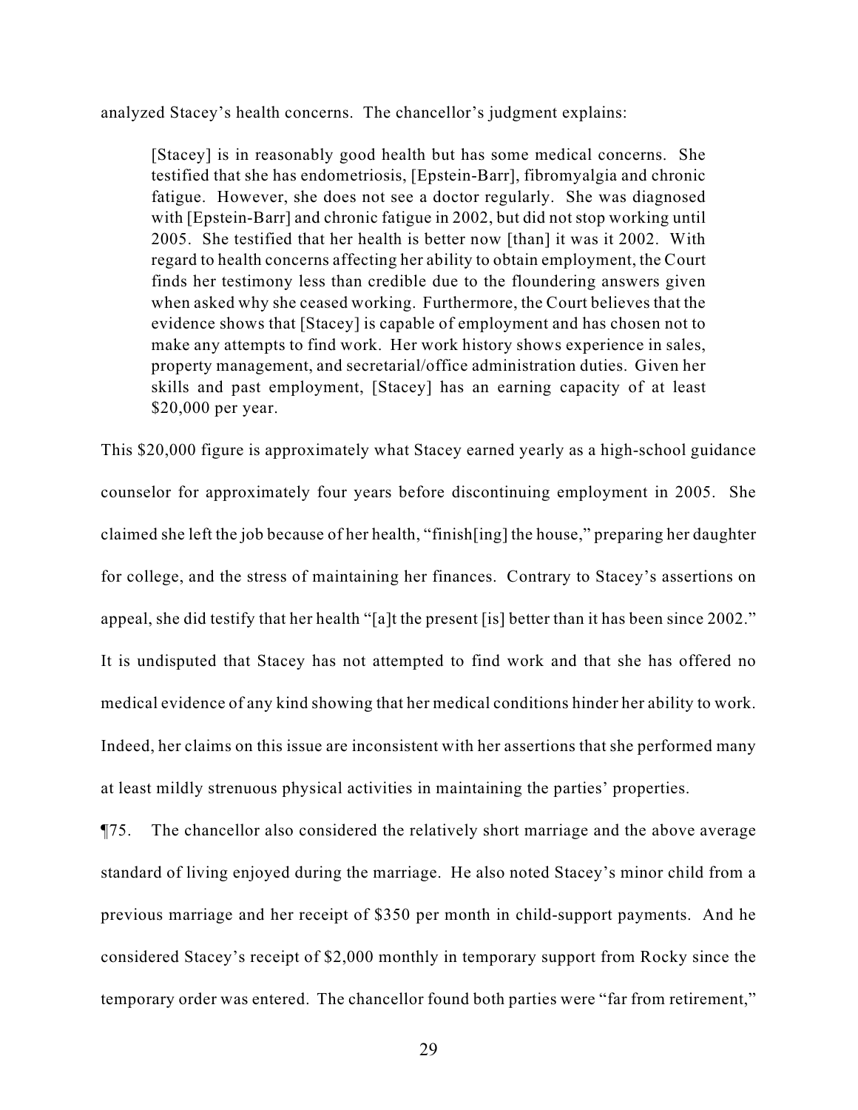analyzed Stacey's health concerns. The chancellor's judgment explains:

[Stacey] is in reasonably good health but has some medical concerns. She testified that she has endometriosis, [Epstein-Barr], fibromyalgia and chronic fatigue. However, she does not see a doctor regularly. She was diagnosed with [Epstein-Barr] and chronic fatigue in 2002, but did not stop working until 2005. She testified that her health is better now [than] it was it 2002. With regard to health concerns affecting her ability to obtain employment, the Court finds her testimony less than credible due to the floundering answers given when asked why she ceased working. Furthermore, the Court believes that the evidence shows that [Stacey] is capable of employment and has chosen not to make any attempts to find work. Her work history shows experience in sales, property management, and secretarial/office administration duties. Given her skills and past employment, [Stacey] has an earning capacity of at least \$20,000 per year.

This \$20,000 figure is approximately what Stacey earned yearly as a high-school guidance counselor for approximately four years before discontinuing employment in 2005. She claimed she left the job because of her health, "finish[ing] the house," preparing her daughter for college, and the stress of maintaining her finances. Contrary to Stacey's assertions on appeal, she did testify that her health "[a]t the present [is] better than it has been since 2002." It is undisputed that Stacey has not attempted to find work and that she has offered no medical evidence of any kind showing that her medical conditions hinder her ability to work. Indeed, her claims on this issue are inconsistent with her assertions that she performed many at least mildly strenuous physical activities in maintaining the parties' properties.

¶75. The chancellor also considered the relatively short marriage and the above average standard of living enjoyed during the marriage. He also noted Stacey's minor child from a previous marriage and her receipt of \$350 per month in child-support payments. And he considered Stacey's receipt of \$2,000 monthly in temporary support from Rocky since the temporary order was entered. The chancellor found both parties were "far from retirement,"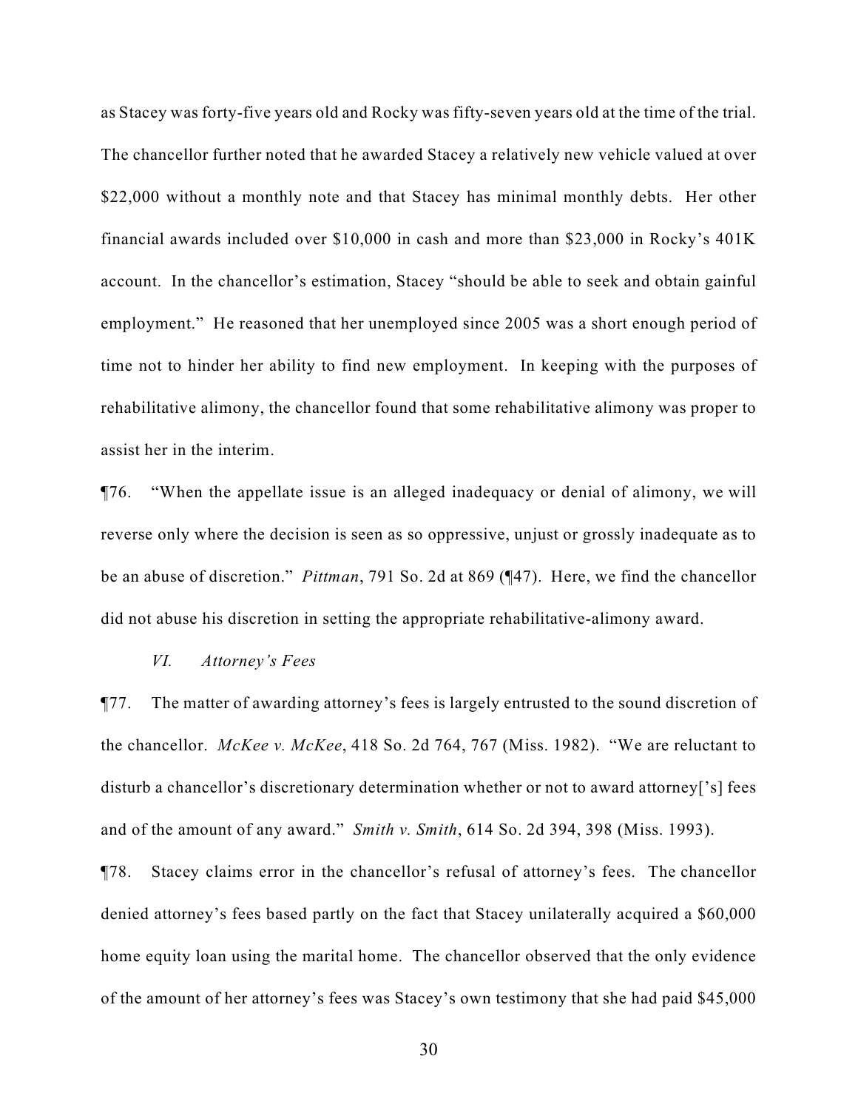as Stacey was forty-five years old and Rocky was fifty-seven years old at the time of the trial. The chancellor further noted that he awarded Stacey a relatively new vehicle valued at over \$22,000 without a monthly note and that Stacey has minimal monthly debts. Her other financial awards included over \$10,000 in cash and more than \$23,000 in Rocky's 401K account. In the chancellor's estimation, Stacey "should be able to seek and obtain gainful employment." He reasoned that her unemployed since 2005 was a short enough period of time not to hinder her ability to find new employment. In keeping with the purposes of rehabilitative alimony, the chancellor found that some rehabilitative alimony was proper to assist her in the interim.

¶76. "When the appellate issue is an alleged inadequacy or denial of alimony, we will reverse only where the decision is seen as so oppressive, unjust or grossly inadequate as to be an abuse of discretion." *Pittman*, 791 So. 2d at 869 (¶47). Here, we find the chancellor did not abuse his discretion in setting the appropriate rehabilitative-alimony award.

#### *VI. Attorney's Fees*

¶77. The matter of awarding attorney's fees is largely entrusted to the sound discretion of the chancellor. *McKee v. McKee*, 418 So. 2d 764, 767 (Miss. 1982). "We are reluctant to disturb a chancellor's discretionary determination whether or not to award attorney['s] fees and of the amount of any award." *Smith v. Smith*, 614 So. 2d 394, 398 (Miss. 1993).

¶78. Stacey claims error in the chancellor's refusal of attorney's fees. The chancellor denied attorney's fees based partly on the fact that Stacey unilaterally acquired a \$60,000 home equity loan using the marital home. The chancellor observed that the only evidence of the amount of her attorney's fees was Stacey's own testimony that she had paid \$45,000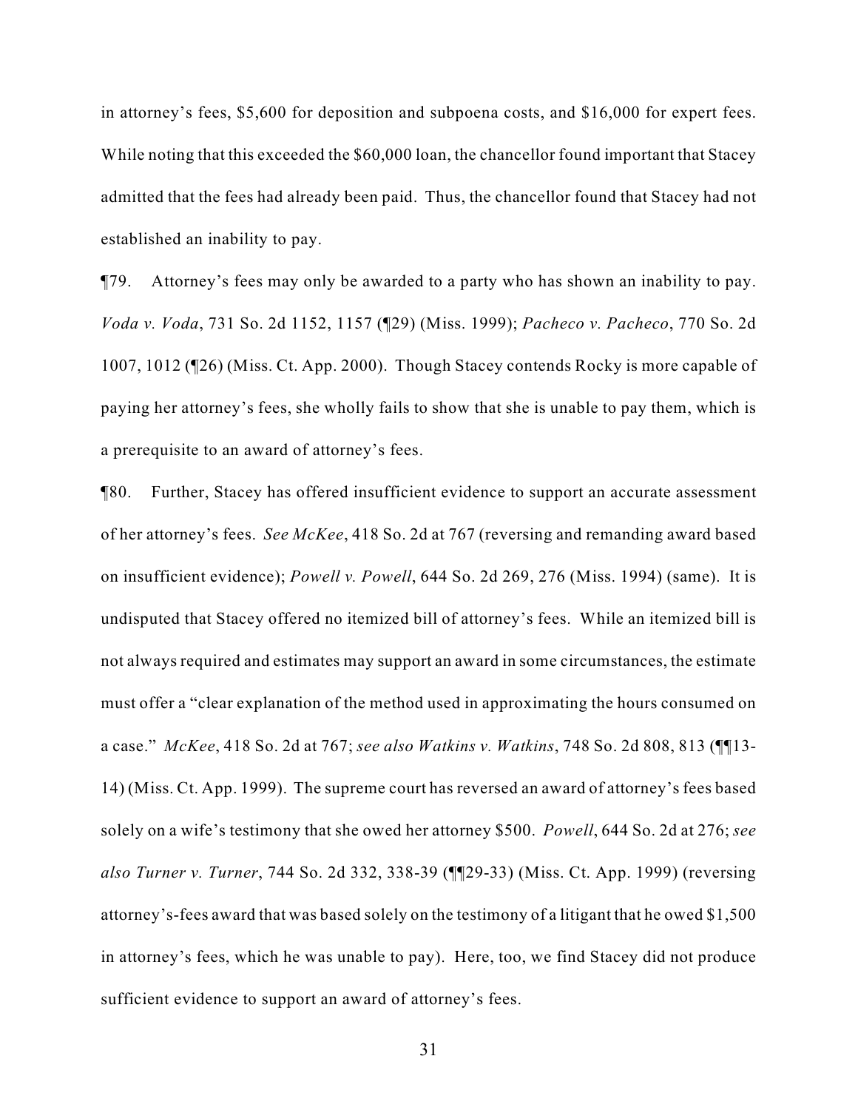in attorney's fees, \$5,600 for deposition and subpoena costs, and \$16,000 for expert fees. While noting that this exceeded the \$60,000 loan, the chancellor found important that Stacey admitted that the fees had already been paid. Thus, the chancellor found that Stacey had not established an inability to pay.

¶79. Attorney's fees may only be awarded to a party who has shown an inability to pay. *Voda v. Voda*, 731 So. 2d 1152, 1157 (¶29) (Miss. 1999); *Pacheco v. Pacheco*, 770 So. 2d 1007, 1012 (¶26) (Miss. Ct. App. 2000). Though Stacey contends Rocky is more capable of paying her attorney's fees, she wholly fails to show that she is unable to pay them, which is a prerequisite to an award of attorney's fees.

¶80. Further, Stacey has offered insufficient evidence to support an accurate assessment of her attorney's fees. *See McKee*, 418 So. 2d at 767 (reversing and remanding award based on insufficient evidence); *Powell v. Powell*, 644 So. 2d 269, 276 (Miss. 1994) (same). It is undisputed that Stacey offered no itemized bill of attorney's fees. While an itemized bill is not always required and estimates may support an award in some circumstances, the estimate must offer a "clear explanation of the method used in approximating the hours consumed on a case." *McKee*, 418 So. 2d at 767; *see also Watkins v. Watkins*, 748 So. 2d 808, 813 (¶¶13- 14) (Miss. Ct. App. 1999). The supreme court has reversed an award of attorney's fees based solely on a wife's testimony that she owed her attorney \$500. *Powell*, 644 So. 2d at 276; *see also Turner v. Turner*, 744 So. 2d 332, 338-39 (¶¶29-33) (Miss. Ct. App. 1999) (reversing attorney's-fees award that was based solely on the testimony of a litigant that he owed \$1,500 in attorney's fees, which he was unable to pay). Here, too, we find Stacey did not produce sufficient evidence to support an award of attorney's fees.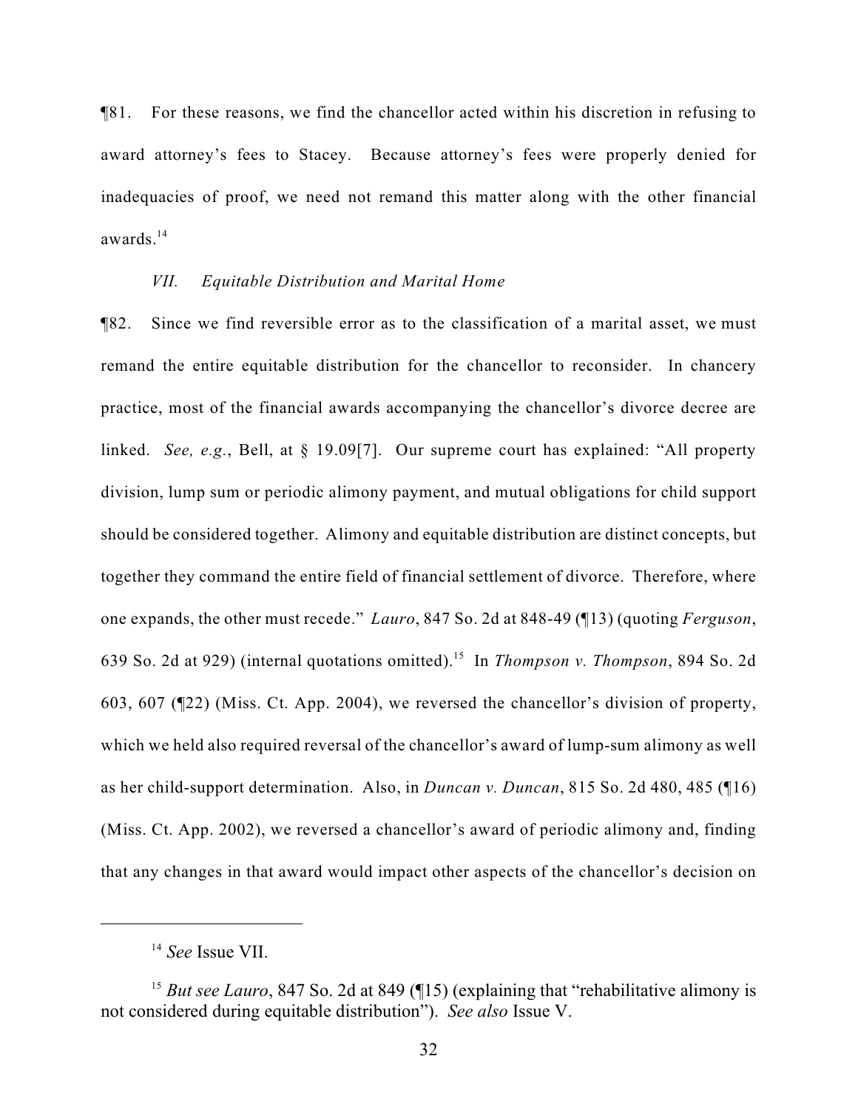¶81. For these reasons, we find the chancellor acted within his discretion in refusing to award attorney's fees to Stacey. Because attorney's fees were properly denied for inadequacies of proof, we need not remand this matter along with the other financial awards. $14$ 

#### *VII. Equitable Distribution and Marital Home*

¶82. Since we find reversible error as to the classification of a marital asset, we must remand the entire equitable distribution for the chancellor to reconsider. In chancery practice, most of the financial awards accompanying the chancellor's divorce decree are linked. *See, e.g.*, Bell, at § 19.09[7]. Our supreme court has explained: "All property division, lump sum or periodic alimony payment, and mutual obligations for child support should be considered together. Alimony and equitable distribution are distinct concepts, but together they command the entire field of financial settlement of divorce. Therefore, where one expands, the other must recede." *Lauro*, 847 So. 2d at 848-49 (¶13) (quoting *Ferguson*, 639 So. 2d at 929) (internal quotations omitted).<sup>15</sup> In *Thompson v. Thompson*, 894 So. 2d 603, 607 (¶22) (Miss. Ct. App. 2004), we reversed the chancellor's division of property, which we held also required reversal of the chancellor's award of lump-sum alimony as well as her child-support determination. Also, in *Duncan v. Duncan*, 815 So. 2d 480, 485 (¶16) (Miss. Ct. App. 2002), we reversed a chancellor's award of periodic alimony and, finding that any changes in that award would impact other aspects of the chancellor's decision on

<sup>&</sup>lt;sup>14</sup> See Issue VII.

<sup>&</sup>lt;sup>15</sup> But see Lauro, 847 So. 2d at 849 ( $\P$ 15) (explaining that "rehabilitative alimony is not considered during equitable distribution"). *See also* Issue V.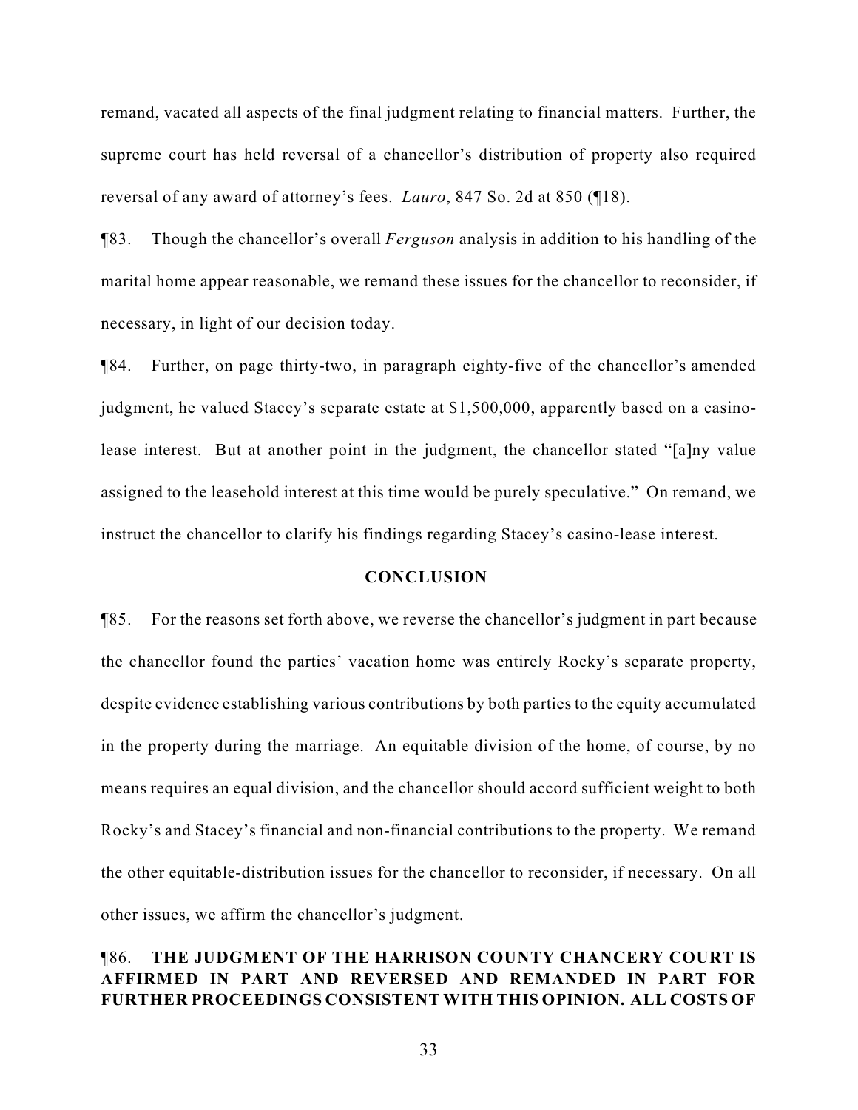remand, vacated all aspects of the final judgment relating to financial matters. Further, the supreme court has held reversal of a chancellor's distribution of property also required reversal of any award of attorney's fees. *Lauro*, 847 So. 2d at 850 (¶18).

¶83. Though the chancellor's overall *Ferguson* analysis in addition to his handling of the marital home appear reasonable, we remand these issues for the chancellor to reconsider, if necessary, in light of our decision today.

¶84. Further, on page thirty-two, in paragraph eighty-five of the chancellor's amended judgment, he valued Stacey's separate estate at \$1,500,000, apparently based on a casinolease interest. But at another point in the judgment, the chancellor stated "[a]ny value assigned to the leasehold interest at this time would be purely speculative." On remand, we instruct the chancellor to clarify his findings regarding Stacey's casino-lease interest.

#### **CONCLUSION**

¶85. For the reasons set forth above, we reverse the chancellor's judgment in part because the chancellor found the parties' vacation home was entirely Rocky's separate property, despite evidence establishing various contributions by both parties to the equity accumulated in the property during the marriage. An equitable division of the home, of course, by no means requires an equal division, and the chancellor should accord sufficient weight to both Rocky's and Stacey's financial and non-financial contributions to the property. We remand the other equitable-distribution issues for the chancellor to reconsider, if necessary. On all other issues, we affirm the chancellor's judgment.

# ¶86. **THE JUDGMENT OF THE HARRISON COUNTY CHANCERY COURT IS AFFIRMED IN PART AND REVERSED AND REMANDED IN PART FOR FURTHER PROCEEDINGS CONSISTENT WITH THIS OPINION. ALL COSTS OF**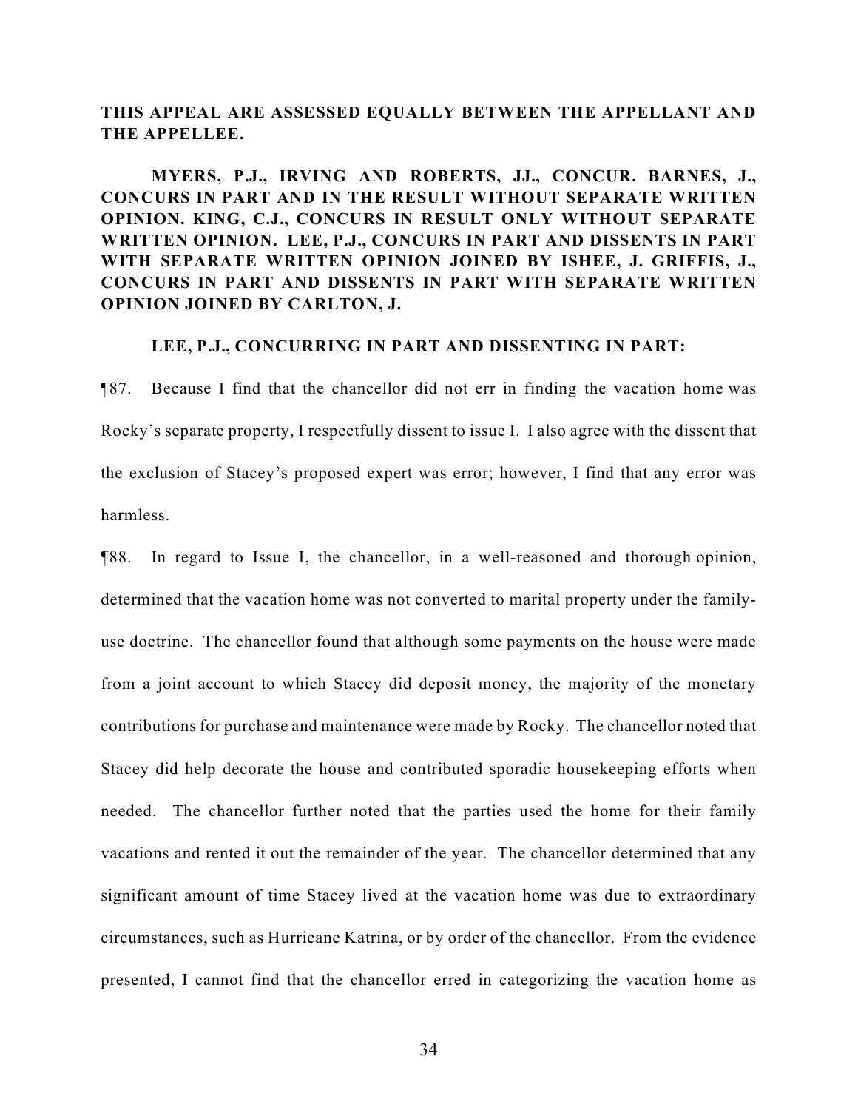# **THIS APPEAL ARE ASSESSED EQUALLY BETWEEN THE APPELLANT AND THE APPELLEE.**

**MYERS, P.J., IRVING AND ROBERTS, JJ., CONCUR. BARNES, J., CONCURS IN PART AND IN THE RESULT WITHOUT SEPARATE WRITTEN OPINION. KING, C.J., CONCURS IN RESULT ONLY WITHOUT SEPARATE WRITTEN OPINION. LEE, P.J., CONCURS IN PART AND DISSENTS IN PART WITH SEPARATE WRITTEN OPINION JOINED BY ISHEE, J. GRIFFIS, J., CONCURS IN PART AND DISSENTS IN PART WITH SEPARATE WRITTEN OPINION JOINED BY CARLTON, J.**

# **LEE, P.J., CONCURRING IN PART AND DISSENTING IN PART:**

¶87. Because I find that the chancellor did not err in finding the vacation home was Rocky's separate property, I respectfully dissent to issue I. I also agree with the dissent that the exclusion of Stacey's proposed expert was error; however, I find that any error was harmless.

¶88. In regard to Issue I, the chancellor, in a well-reasoned and thorough opinion, determined that the vacation home was not converted to marital property under the familyuse doctrine. The chancellor found that although some payments on the house were made from a joint account to which Stacey did deposit money, the majority of the monetary contributions for purchase and maintenance were made by Rocky. The chancellor noted that Stacey did help decorate the house and contributed sporadic housekeeping efforts when needed. The chancellor further noted that the parties used the home for their family vacations and rented it out the remainder of the year. The chancellor determined that any significant amount of time Stacey lived at the vacation home was due to extraordinary circumstances, such as Hurricane Katrina, or by order of the chancellor. From the evidence presented, I cannot find that the chancellor erred in categorizing the vacation home as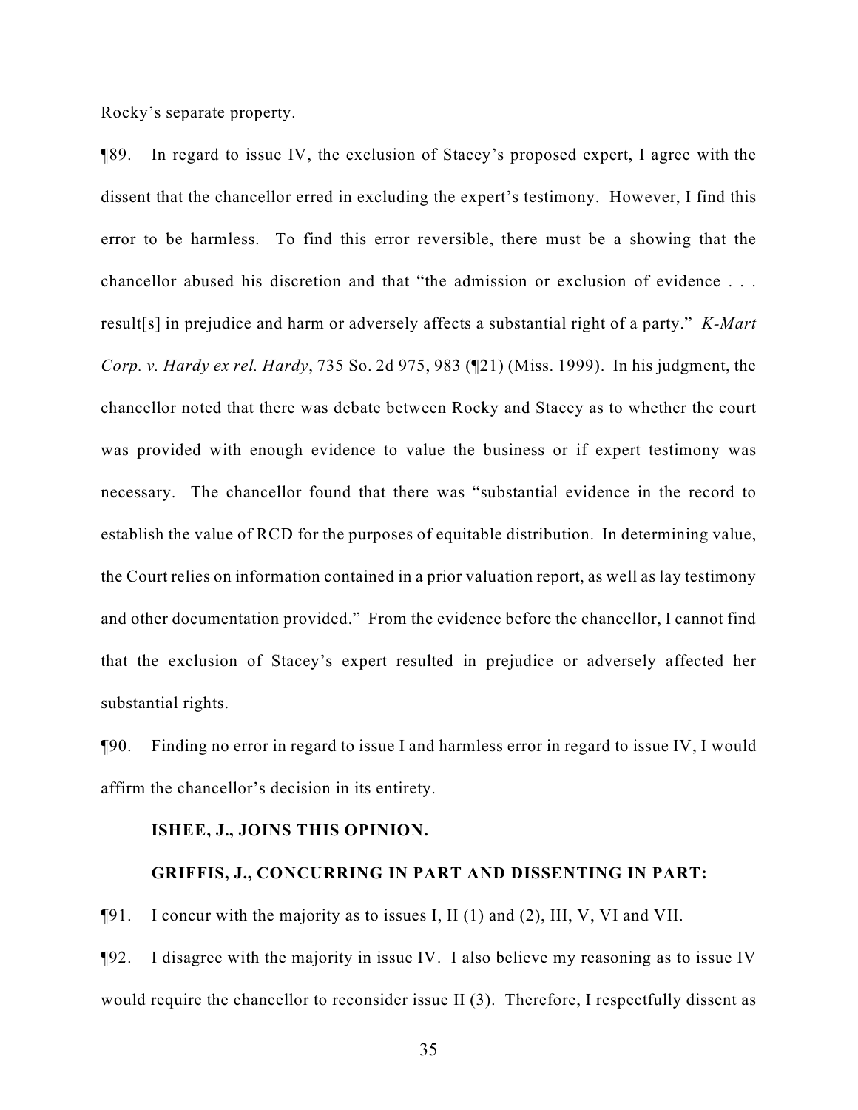Rocky's separate property.

¶89. In regard to issue IV, the exclusion of Stacey's proposed expert, I agree with the dissent that the chancellor erred in excluding the expert's testimony. However, I find this error to be harmless. To find this error reversible, there must be a showing that the chancellor abused his discretion and that "the admission or exclusion of evidence . . . result[s] in prejudice and harm or adversely affects a substantial right of a party." *K-Mart Corp. v. Hardy ex rel. Hardy*, 735 So. 2d 975, 983 (¶21) (Miss. 1999). In his judgment, the chancellor noted that there was debate between Rocky and Stacey as to whether the court was provided with enough evidence to value the business or if expert testimony was necessary. The chancellor found that there was "substantial evidence in the record to establish the value of RCD for the purposes of equitable distribution. In determining value, the Court relies on information contained in a prior valuation report, as well as lay testimony and other documentation provided." From the evidence before the chancellor, I cannot find that the exclusion of Stacey's expert resulted in prejudice or adversely affected her substantial rights.

¶90. Finding no error in regard to issue I and harmless error in regard to issue IV, I would affirm the chancellor's decision in its entirety.

#### **ISHEE, J., JOINS THIS OPINION.**

#### **GRIFFIS, J., CONCURRING IN PART AND DISSENTING IN PART:**

¶91. I concur with the majority as to issues I, II (1) and (2), III, V, VI and VII.

¶92. I disagree with the majority in issue IV. I also believe my reasoning as to issue IV would require the chancellor to reconsider issue II (3). Therefore, I respectfully dissent as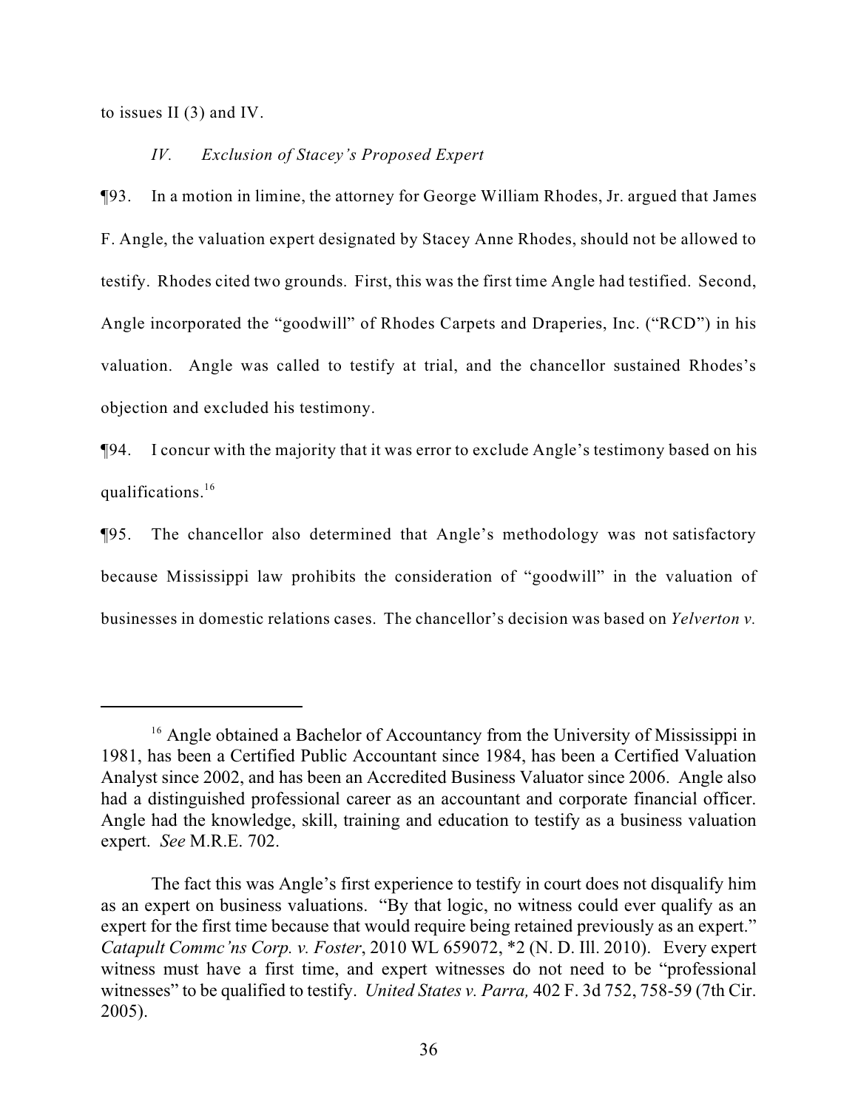to issues II (3) and IV.

# *IV. Exclusion of Stacey's Proposed Expert*

¶93. In a motion in limine, the attorney for George William Rhodes, Jr. argued that James F. Angle, the valuation expert designated by Stacey Anne Rhodes, should not be allowed to testify. Rhodes cited two grounds. First, this was the first time Angle had testified. Second, Angle incorporated the "goodwill" of Rhodes Carpets and Draperies, Inc. ("RCD") in his valuation. Angle was called to testify at trial, and the chancellor sustained Rhodes's objection and excluded his testimony.

¶94. I concur with the majority that it was error to exclude Angle's testimony based on his qualifications.<sup>16</sup>

¶95. The chancellor also determined that Angle's methodology was not satisfactory because Mississippi law prohibits the consideration of "goodwill" in the valuation of businesses in domestic relations cases. The chancellor's decision was based on *Yelverton v.*

<sup>&</sup>lt;sup>16</sup> Angle obtained a Bachelor of Accountancy from the University of Mississippi in 1981, has been a Certified Public Accountant since 1984, has been a Certified Valuation Analyst since 2002, and has been an Accredited Business Valuator since 2006. Angle also had a distinguished professional career as an accountant and corporate financial officer. Angle had the knowledge, skill, training and education to testify as a business valuation expert. *See* M.R.E. 702.

The fact this was Angle's first experience to testify in court does not disqualify him as an expert on business valuations. "By that logic, no witness could ever qualify as an expert for the first time because that would require being retained previously as an expert." *Catapult Commc'ns Corp. v. Foster*, 2010 WL 659072, \*2 (N. D. Ill. 2010). Every expert witness must have a first time, and expert witnesses do not need to be "professional witnesses" to be qualified to testify. *United States v. Parra,* 402 F. 3d 752, 758-59 (7th Cir. 2005).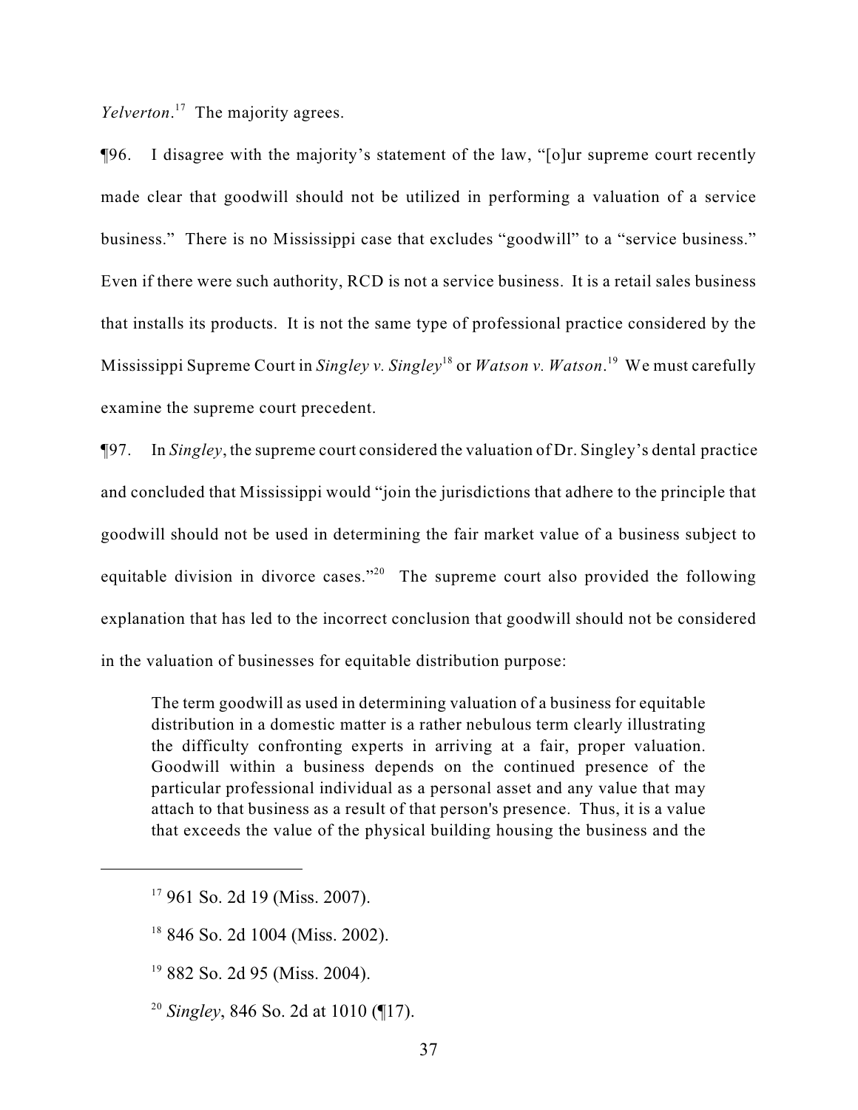Yelverton.<sup>17</sup> The majority agrees.

¶96. I disagree with the majority's statement of the law, "[o]ur supreme court recently made clear that goodwill should not be utilized in performing a valuation of a service business." There is no Mississippi case that excludes "goodwill" to a "service business." Even if there were such authority, RCD is not a service business. It is a retail sales business that installs its products. It is not the same type of professional practice considered by the Mississippi Supreme Court in *Singley v. Singley*<sup>18</sup> or *Watson v. Watson*.<sup>19</sup> We must carefully examine the supreme court precedent.

¶97. In *Singley*, the supreme court considered the valuation of Dr. Singley's dental practice and concluded that Mississippi would "join the jurisdictions that adhere to the principle that goodwill should not be used in determining the fair market value of a business subject to equitable division in divorce cases."<sup>20</sup> The supreme court also provided the following explanation that has led to the incorrect conclusion that goodwill should not be considered in the valuation of businesses for equitable distribution purpose:

The term goodwill as used in determining valuation of a business for equitable distribution in a domestic matter is a rather nebulous term clearly illustrating the difficulty confronting experts in arriving at a fair, proper valuation. Goodwill within a business depends on the continued presence of the particular professional individual as a personal asset and any value that may attach to that business as a result of that person's presence. Thus, it is a value that exceeds the value of the physical building housing the business and the

 $17$  961 So. 2d 19 (Miss. 2007).

 $18$  846 So. 2d 1004 (Miss. 2002).

 $19$  882 So. 2d 95 (Miss. 2004).

<sup>&</sup>lt;sup>20</sup> Singley, 846 So. 2d at 1010 ( $\P$ 17).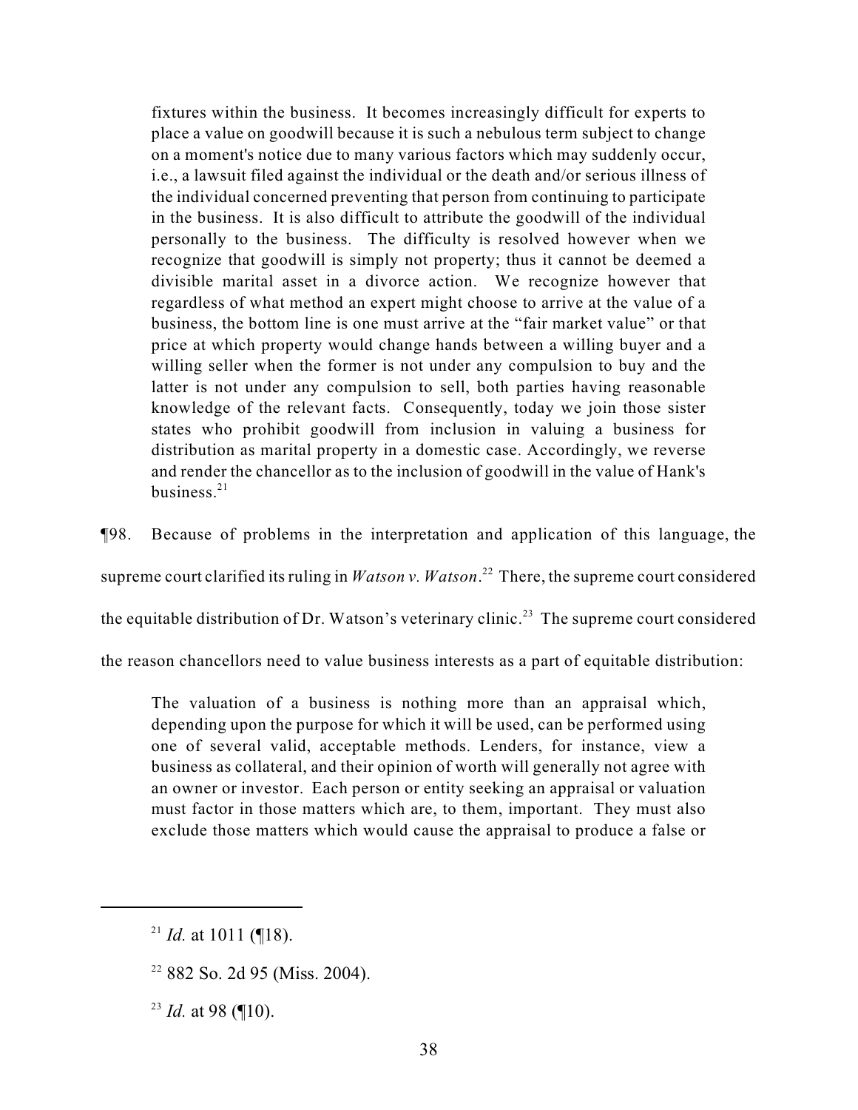fixtures within the business. It becomes increasingly difficult for experts to place a value on goodwill because it is such a nebulous term subject to change on a moment's notice due to many various factors which may suddenly occur, i.e., a lawsuit filed against the individual or the death and/or serious illness of the individual concerned preventing that person from continuing to participate in the business. It is also difficult to attribute the goodwill of the individual personally to the business. The difficulty is resolved however when we recognize that goodwill is simply not property; thus it cannot be deemed a divisible marital asset in a divorce action. We recognize however that regardless of what method an expert might choose to arrive at the value of a business, the bottom line is one must arrive at the "fair market value" or that price at which property would change hands between a willing buyer and a willing seller when the former is not under any compulsion to buy and the latter is not under any compulsion to sell, both parties having reasonable knowledge of the relevant facts. Consequently, today we join those sister states who prohibit goodwill from inclusion in valuing a business for distribution as marital property in a domestic case. Accordingly, we reverse and render the chancellor as to the inclusion of goodwill in the value of Hank's business. $21$ 

¶98. Because of problems in the interpretation and application of this language, the

supreme court clarified its ruling in *Watson v. Watson*.<sup>22</sup> There, the supreme court considered

the equitable distribution of Dr. Watson's veterinary clinic.<sup>23</sup> The supreme court considered

the reason chancellors need to value business interests as a part of equitable distribution:

The valuation of a business is nothing more than an appraisal which, depending upon the purpose for which it will be used, can be performed using one of several valid, acceptable methods. Lenders, for instance, view a business as collateral, and their opinion of worth will generally not agree with an owner or investor. Each person or entity seeking an appraisal or valuation must factor in those matters which are, to them, important. They must also exclude those matters which would cause the appraisal to produce a false or

<sup>&</sup>lt;sup>21</sup> *Id.* at 1011 (¶18).

 $22$  882 So. 2d 95 (Miss. 2004).

 $^{23}$  *Id.* at 98 (¶10).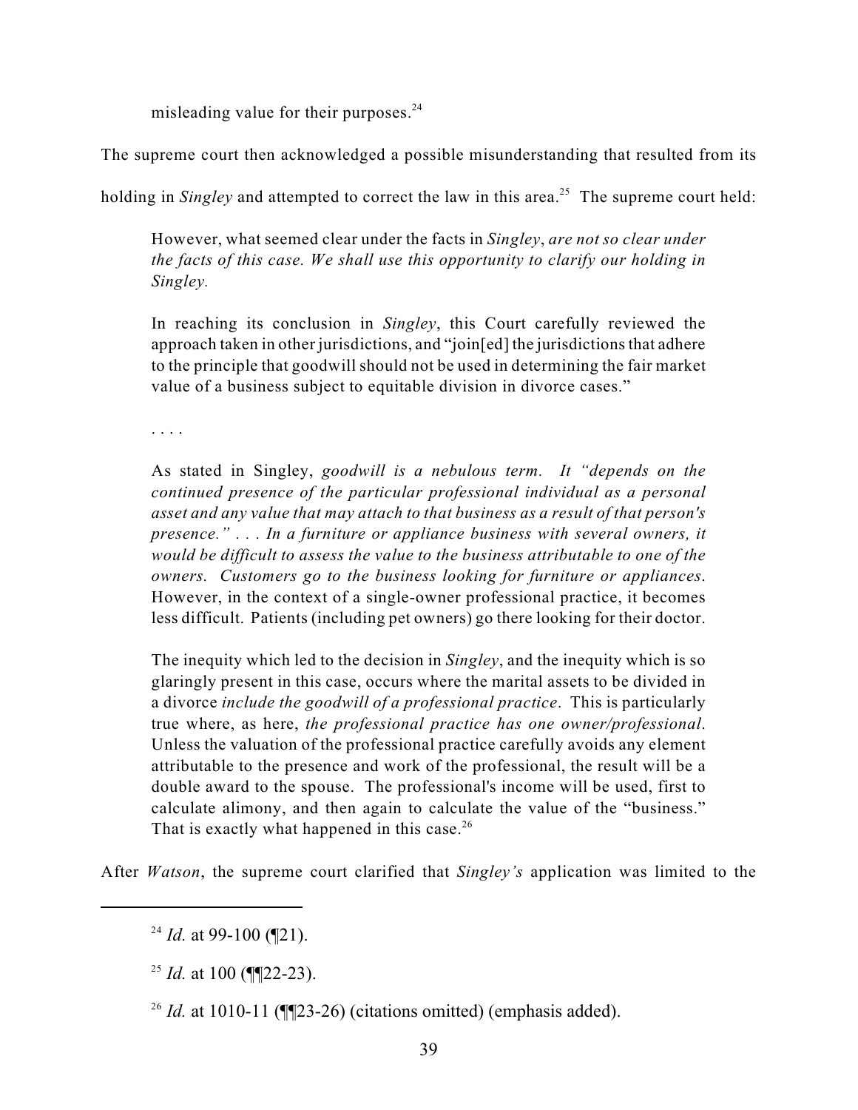misleading value for their purposes. $^{24}$ 

The supreme court then acknowledged a possible misunderstanding that resulted from its

holding in *Singley* and attempted to correct the law in this area.<sup>25</sup> The supreme court held:

However, what seemed clear under the facts in *Singley*, *are not so clear under the facts of this case. We shall use this opportunity to clarify our holding in Singley.*

In reaching its conclusion in *Singley*, this Court carefully reviewed the approach taken in other jurisdictions, and "join[ed] the jurisdictions that adhere to the principle that goodwill should not be used in determining the fair market value of a business subject to equitable division in divorce cases."

. . . .

As stated in Singley, *goodwill is a nebulous term. It "depends on the continued presence of the particular professional individual as a personal asset and any value that may attach to that business as a result of that person's presence." . . . In a furniture or appliance business with several owners, it would be difficult to assess the value to the business attributable to one of the owners. Customers go to the business looking for furniture or appliances*. However, in the context of a single-owner professional practice, it becomes less difficult. Patients (including pet owners) go there looking for their doctor.

The inequity which led to the decision in *Singley*, and the inequity which is so glaringly present in this case, occurs where the marital assets to be divided in a divorce *include the goodwill of a professional practice*. This is particularly true where, as here, *the professional practice has one owner/professional*. Unless the valuation of the professional practice carefully avoids any element attributable to the presence and work of the professional, the result will be a double award to the spouse. The professional's income will be used, first to calculate alimony, and then again to calculate the value of the "business." That is exactly what happened in this case.<sup>26</sup>

After *Watson*, the supreme court clarified that *Singley's* application was limited to the

<sup>&</sup>lt;sup>24</sup> *Id.* at 99-100 ( $\mathbb{Z}$ 1).

<sup>&</sup>lt;sup>25</sup> *Id.* at 100 (¶¶22-23).

<sup>&</sup>lt;sup>26</sup> *Id.* at 1010-11 ( $\P$  $[23-26)$  (citations omitted) (emphasis added).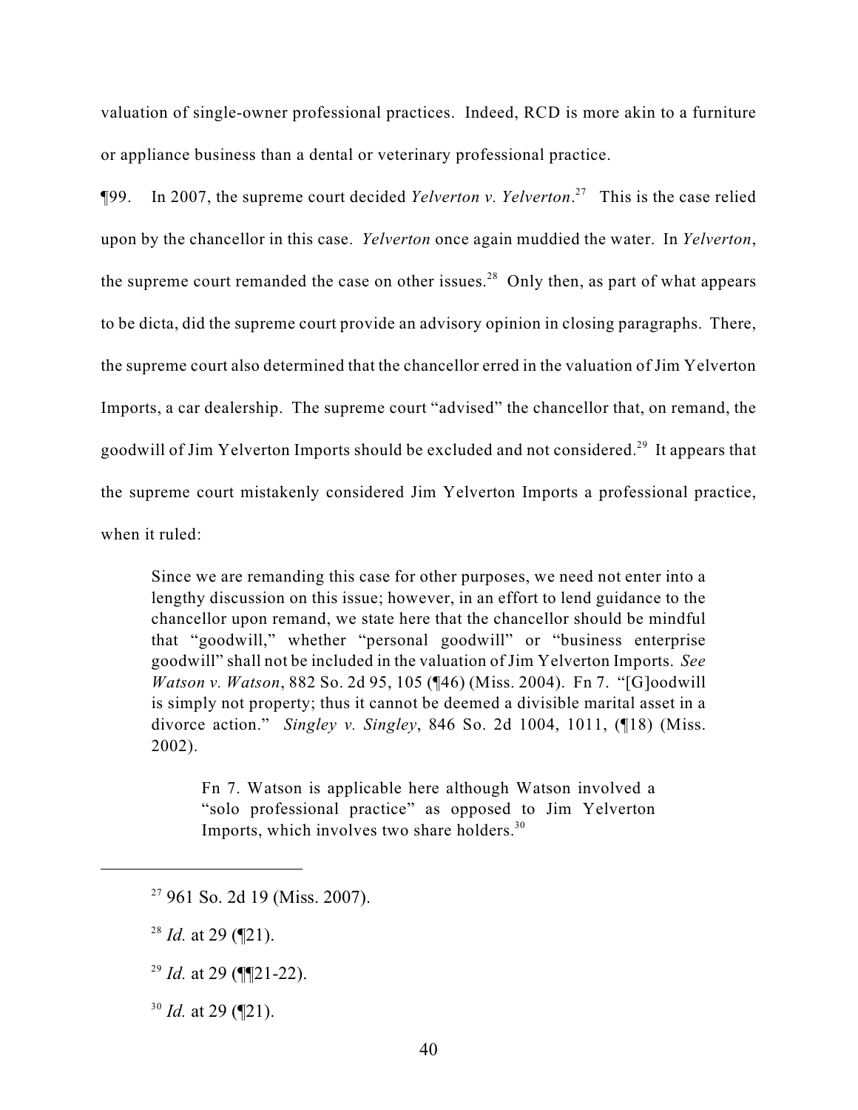valuation of single-owner professional practices. Indeed, RCD is more akin to a furniture or appliance business than a dental or veterinary professional practice.

¶99. In 2007, the supreme court decided *Yelverton v. Yelverton*. This is the case relied <sup>27</sup> upon by the chancellor in this case. *Yelverton* once again muddied the water. In *Yelverton*, the supreme court remanded the case on other issues.<sup>28</sup> Only then, as part of what appears to be dicta, did the supreme court provide an advisory opinion in closing paragraphs. There, the supreme court also determined that the chancellor erred in the valuation of Jim Yelverton Imports, a car dealership. The supreme court "advised" the chancellor that, on remand, the goodwill of Jim Yelverton Imports should be excluded and not considered.<sup>29</sup> It appears that the supreme court mistakenly considered Jim Yelverton Imports a professional practice, when it ruled:

Since we are remanding this case for other purposes, we need not enter into a lengthy discussion on this issue; however, in an effort to lend guidance to the chancellor upon remand, we state here that the chancellor should be mindful that "goodwill," whether "personal goodwill" or "business enterprise goodwill" shall not be included in the valuation of Jim Yelverton Imports. *See Watson v. Watson*, 882 So. 2d 95, 105 (¶46) (Miss. 2004). Fn 7. "[G]oodwill is simply not property; thus it cannot be deemed a divisible marital asset in a divorce action." *Singley v. Singley*, 846 So. 2d 1004, 1011, (¶18) (Miss. 2002).

Fn 7. Watson is applicable here although Watson involved a "solo professional practice" as opposed to Jim Yelverton Imports, which involves two share holders.<sup>30</sup>

<sup>30</sup> *Id.* at 29 (¶21).

 $27$  961 So. 2d 19 (Miss. 2007).

 $^{28}$  *Id.* at 29 (¶21).

 $^{29}$  *Id.* at 29 (¶¶21-22).